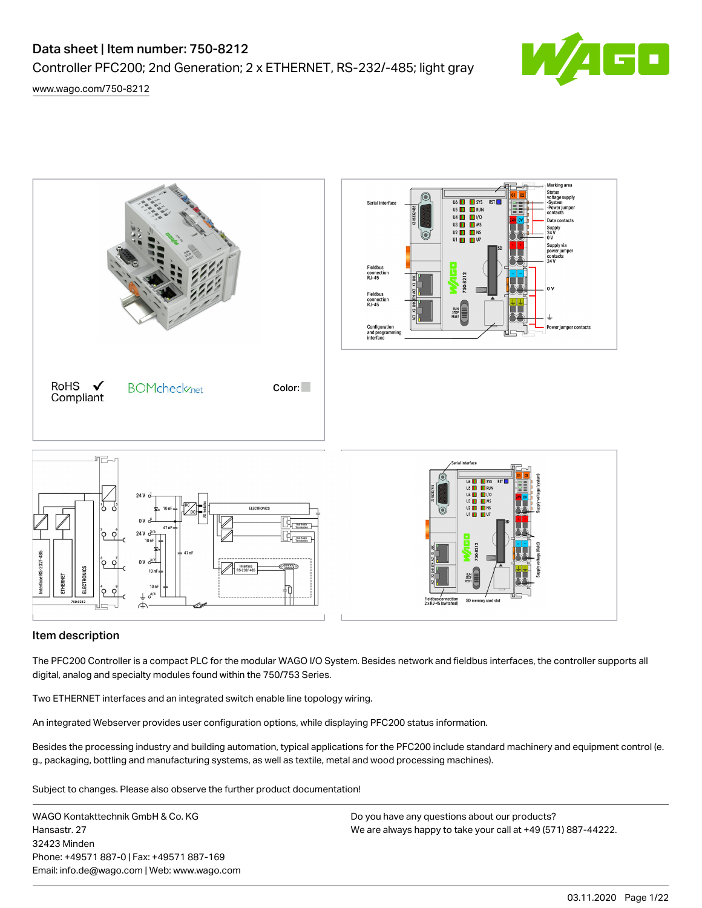# Controller PFC200; 2nd Generation; 2 x ETHERNET, RS-232/-485; light gray



[www.wago.com/750-8212](http://www.wago.com/750-8212)



## Item description

The PFC200 Controller is a compact PLC for the modular WAGO I/O System. Besides network and fieldbus interfaces, the controller supports all digital, analog and specialty modules found within the 750/753 Series.

Two ETHERNET interfaces and an integrated switch enable line topology wiring.

An integrated Webserver provides user configuration options, while displaying PFC200 status information.

Besides the processing industry and building automation, typical applications for the PFC200 include standard machinery and equipment control (e. g., packaging, bottling and manufacturing systems, as well as textile, metal and wood processing machines).

Subject to changes. Please also observe the further product documentation!

WAGO Kontakttechnik GmbH & Co. KG Hansastr. 27 32423 Minden Phone: +49571 887-0 | Fax: +49571 887-169 Email: info.de@wago.com | Web: www.wago.com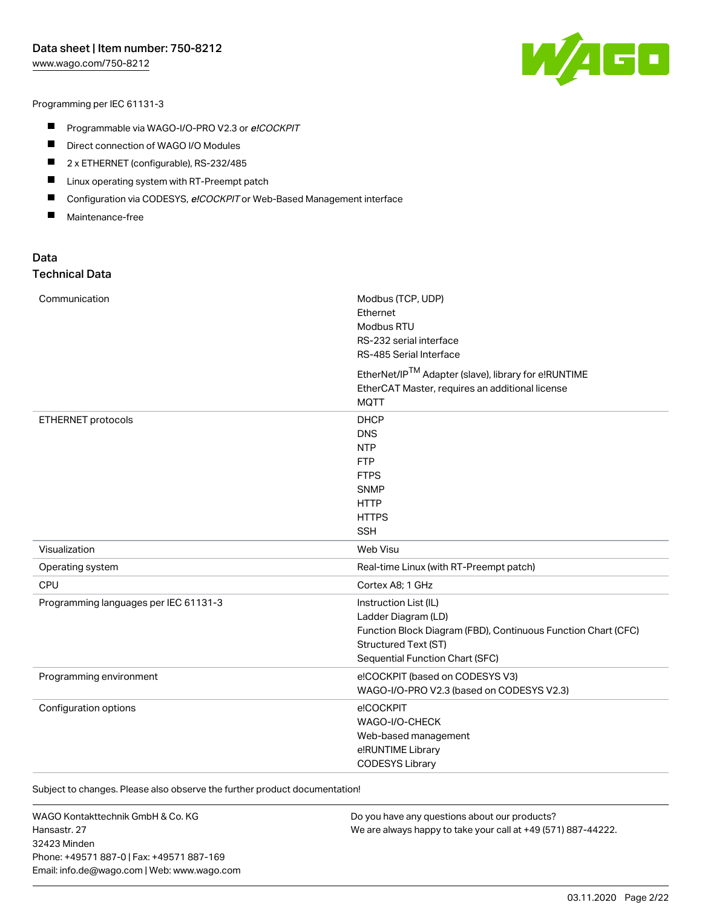[www.wago.com/750-8212](http://www.wago.com/750-8212)



Programming per IEC 61131-3

- **Programmable via WAGO-I/O-PRO V2.3 or e!COCKPIT**
- $\blacksquare$ Direct connection of WAGO I/O Modules
- $\blacksquare$ 2 x ETHERNET (configurable), RS-232/485
- $\blacksquare$ Linux operating system with RT‐Preempt patch
- $\blacksquare$ Configuration via CODESYS, e!COCKPIT or Web-Based Management interface
- $\blacksquare$ Maintenance-free

### Data Technical Data

| Communication                         | Modbus (TCP, UDP)<br>Ethernet<br>Modbus RTU<br>RS-232 serial interface<br>RS-485 Serial Interface                                                                        |
|---------------------------------------|--------------------------------------------------------------------------------------------------------------------------------------------------------------------------|
|                                       | EtherNet/IPTM Adapter (slave), library for e!RUNTIME<br>EtherCAT Master, requires an additional license<br><b>MQTT</b>                                                   |
| ETHERNET protocols                    | <b>DHCP</b><br><b>DNS</b><br><b>NTP</b><br><b>FTP</b><br><b>FTPS</b><br><b>SNMP</b><br><b>HTTP</b><br><b>HTTPS</b><br><b>SSH</b>                                         |
| Visualization                         | Web Visu                                                                                                                                                                 |
| Operating system                      | Real-time Linux (with RT-Preempt patch)                                                                                                                                  |
| CPU                                   | Cortex A8; 1 GHz                                                                                                                                                         |
| Programming languages per IEC 61131-3 | Instruction List (IL)<br>Ladder Diagram (LD)<br>Function Block Diagram (FBD), Continuous Function Chart (CFC)<br>Structured Text (ST)<br>Sequential Function Chart (SFC) |
| Programming environment               | e!COCKPIT (based on CODESYS V3)<br>WAGO-I/O-PRO V2.3 (based on CODESYS V2.3)                                                                                             |
| Configuration options                 | e!COCKPIT<br>WAGO-I/O-CHECK<br>Web-based management<br>e!RUNTIME Library<br><b>CODESYS Library</b>                                                                       |

Subject to changes. Please also observe the further product documentation!

WAGO Kontakttechnik GmbH & Co. KG Hansastr. 27 32423 Minden Phone: +49571 887-0 | Fax: +49571 887-169 Email: info.de@wago.com | Web: www.wago.com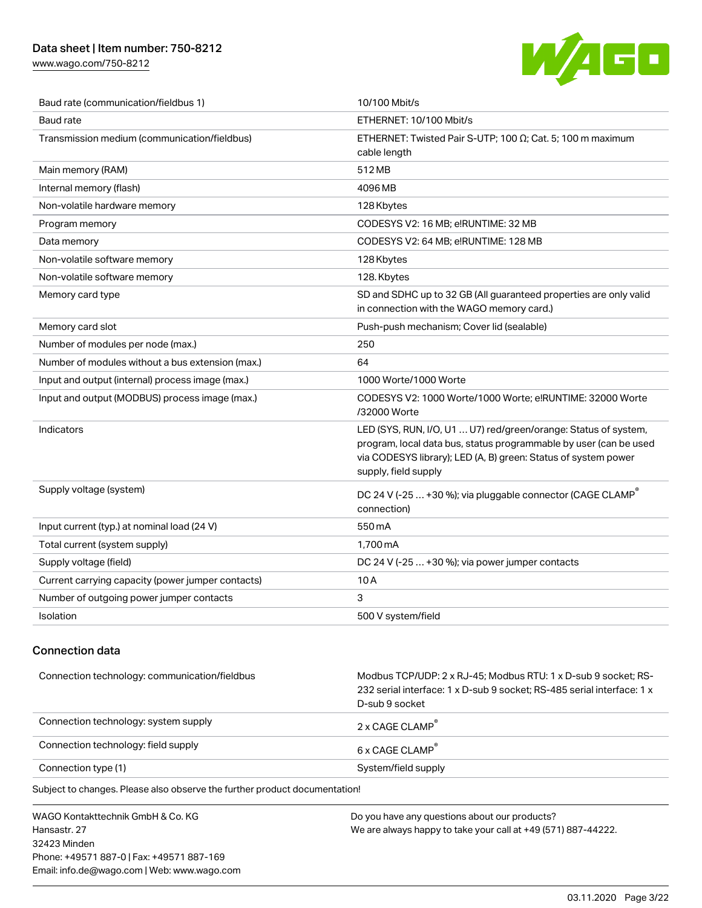[www.wago.com/750-8212](http://www.wago.com/750-8212)



| Baud rate (communication/fieldbus 1)              | 10/100 Mbit/s                                                                                                                                                                                                                  |  |
|---------------------------------------------------|--------------------------------------------------------------------------------------------------------------------------------------------------------------------------------------------------------------------------------|--|
| <b>Baud rate</b>                                  | ETHERNET: 10/100 Mbit/s                                                                                                                                                                                                        |  |
| Transmission medium (communication/fieldbus)      | ETHERNET: Twisted Pair S-UTP; 100 $\Omega$ ; Cat. 5; 100 m maximum<br>cable length                                                                                                                                             |  |
| Main memory (RAM)                                 | 512 MB                                                                                                                                                                                                                         |  |
| Internal memory (flash)                           | 4096 MB                                                                                                                                                                                                                        |  |
| Non-volatile hardware memory                      | 128 Kbytes                                                                                                                                                                                                                     |  |
| Program memory                                    | CODESYS V2: 16 MB; e!RUNTIME: 32 MB                                                                                                                                                                                            |  |
| Data memory                                       | CODESYS V2: 64 MB; e!RUNTIME: 128 MB                                                                                                                                                                                           |  |
| Non-volatile software memory                      | 128 Kbytes                                                                                                                                                                                                                     |  |
| Non-volatile software memory                      | 128. Kbytes                                                                                                                                                                                                                    |  |
| Memory card type                                  | SD and SDHC up to 32 GB (All guaranteed properties are only valid<br>in connection with the WAGO memory card.)                                                                                                                 |  |
| Memory card slot                                  | Push-push mechanism; Cover lid (sealable)                                                                                                                                                                                      |  |
| Number of modules per node (max.)                 | 250                                                                                                                                                                                                                            |  |
| Number of modules without a bus extension (max.)  | 64                                                                                                                                                                                                                             |  |
| Input and output (internal) process image (max.)  | 1000 Worte/1000 Worte                                                                                                                                                                                                          |  |
| Input and output (MODBUS) process image (max.)    | CODESYS V2: 1000 Worte/1000 Worte; e!RUNTIME: 32000 Worte<br>/32000 Worte                                                                                                                                                      |  |
| Indicators                                        | LED (SYS, RUN, I/O, U1  U7) red/green/orange: Status of system,<br>program, local data bus, status programmable by user (can be used<br>via CODESYS library); LED (A, B) green: Status of system power<br>supply, field supply |  |
| Supply voltage (system)                           | DC 24 V (-25  +30 %); via pluggable connector (CAGE CLAMP <sup>®</sup><br>connection)                                                                                                                                          |  |
| Input current (typ.) at nominal load (24 V)       | 550 mA                                                                                                                                                                                                                         |  |
| Total current (system supply)                     | 1.700 mA                                                                                                                                                                                                                       |  |
| Supply voltage (field)                            | DC 24 V (-25  +30 %); via power jumper contacts                                                                                                                                                                                |  |
| Current carrying capacity (power jumper contacts) | 10A                                                                                                                                                                                                                            |  |
| Number of outgoing power jumper contacts          | 3                                                                                                                                                                                                                              |  |
| Isolation                                         | 500 V system/field                                                                                                                                                                                                             |  |

## Connection data

| Connection technology: communication/fieldbus | Modbus TCP/UDP: 2 x RJ-45: Modbus RTU: 1 x D-sub 9 socket: RS-<br>232 serial interface: 1 x D-sub 9 socket: RS-485 serial interface: 1 x<br>D-sub 9 socket |
|-----------------------------------------------|------------------------------------------------------------------------------------------------------------------------------------------------------------|
| Connection technology: system supply          | 2 x CAGF CLAMP                                                                                                                                             |
| Connection technology: field supply           | 6 x CAGE CLAMP                                                                                                                                             |
| Connection type (1)                           | System/field supply                                                                                                                                        |

Subject to changes. Please also observe the further product documentation!

WAGO Kontakttechnik GmbH & Co. KG Hansastr. 27 32423 Minden Phone: +49571 887-0 | Fax: +49571 887-169 Email: info.de@wago.com | Web: www.wago.com Do you have any questions about our products? We are always happy to take your call at +49 (571) 887-44222.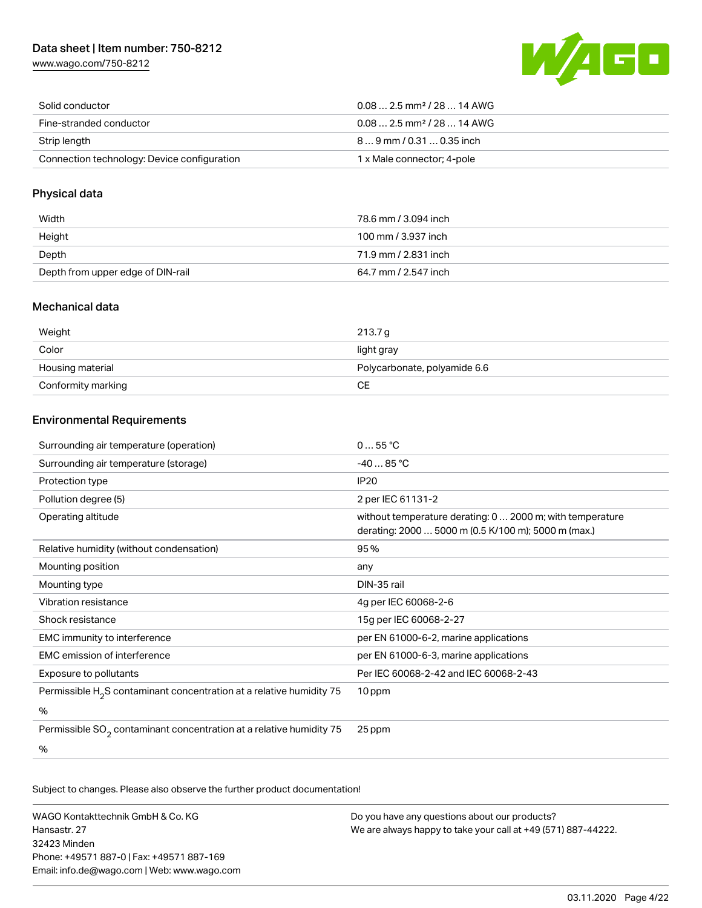[www.wago.com/750-8212](http://www.wago.com/750-8212)



| Solid conductor                             | $0.082.5$ mm <sup>2</sup> / 28  14 AWG |
|---------------------------------------------|----------------------------------------|
| Fine-stranded conductor                     | $0.082.5$ mm <sup>2</sup> / 28  14 AWG |
| Strip length                                | 89 mm / 0.31  0.35 inch                |
| Connection technology: Device configuration | 1 x Male connector; 4-pole             |

### Physical data

| Width                             | 78.6 mm / 3.094 inch |
|-----------------------------------|----------------------|
| Height                            | 100 mm / 3.937 inch  |
| Depth                             | 71.9 mm / 2.831 inch |
| Depth from upper edge of DIN-rail | 64.7 mm / 2.547 inch |

### Mechanical data

| Weight             | 213.7 a                      |
|--------------------|------------------------------|
| Color              | light gray                   |
| Housing material   | Polycarbonate, polyamide 6.6 |
| Conformity marking | CЕ                           |

## Environmental Requirements

| Surrounding air temperature (operation)                                | 055 °C                                                                                                           |
|------------------------------------------------------------------------|------------------------------------------------------------------------------------------------------------------|
| Surrounding air temperature (storage)                                  | $-4085 °C$                                                                                                       |
| Protection type                                                        | IP20                                                                                                             |
| Pollution degree (5)                                                   | 2 per IEC 61131-2                                                                                                |
| Operating altitude                                                     | without temperature derating: 0  2000 m; with temperature<br>derating: 2000  5000 m (0.5 K/100 m); 5000 m (max.) |
| Relative humidity (without condensation)                               | 95%                                                                                                              |
| Mounting position                                                      | any                                                                                                              |
| Mounting type                                                          | DIN-35 rail                                                                                                      |
| Vibration resistance                                                   | 4g per IEC 60068-2-6                                                                                             |
| Shock resistance                                                       | 15g per IEC 60068-2-27                                                                                           |
| EMC immunity to interference                                           | per EN 61000-6-2, marine applications                                                                            |
| <b>EMC</b> emission of interference                                    | per EN 61000-6-3, marine applications                                                                            |
| Exposure to pollutants                                                 | Per IEC 60068-2-42 and IEC 60068-2-43                                                                            |
| Permissible $H_2S$ contaminant concentration at a relative humidity 75 | 10 ppm                                                                                                           |
| $\%$                                                                   |                                                                                                                  |
| Permissible $SO2$ contaminant concentration at a relative humidity 75  | 25 ppm                                                                                                           |
| %                                                                      |                                                                                                                  |

Subject to changes. Please also observe the further product documentation!

WAGO Kontakttechnik GmbH & Co. KG Hansastr. 27 32423 Minden Phone: +49571 887-0 | Fax: +49571 887-169 Email: info.de@wago.com | Web: www.wago.com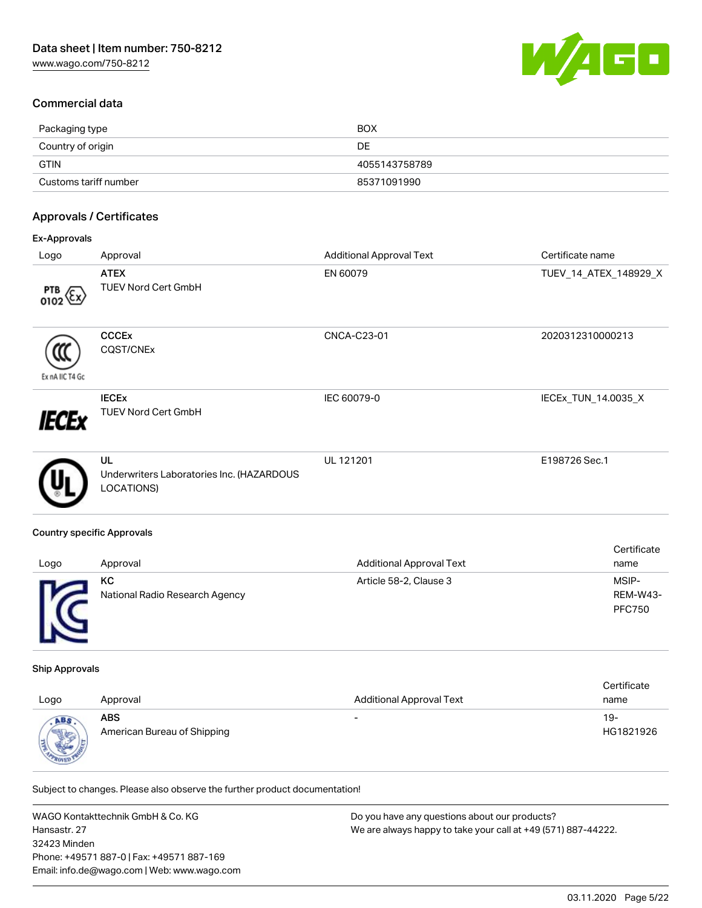

## Commercial data

| Packaging type        | <b>BOX</b>    |
|-----------------------|---------------|
| Country of origin     | DE            |
| <b>GTIN</b>           | 4055143758789 |
| Customs tariff number | 85371091990   |

## Approvals / Certificates

| Ex-Approvals                   |                                                               |                                 |                       |  |
|--------------------------------|---------------------------------------------------------------|---------------------------------|-----------------------|--|
| Logo                           | Approval                                                      | <b>Additional Approval Text</b> | Certificate name      |  |
| $rac{\text{PTB}}{\text{O1O2}}$ | <b>ATEX</b><br><b>TUEV Nord Cert GmbH</b>                     | EN 60079                        | TUEV_14_ATEX_148929_X |  |
| Ex nA IIC T4 Gc                | <b>CCCEx</b><br>CQST/CNEx                                     | CNCA-C23-01                     | 2020312310000213      |  |
| IECEx                          | <b>IECEX</b><br><b>TUEV Nord Cert GmbH</b>                    | IEC 60079-0                     | IECEx_TUN_14.0035_X   |  |
|                                | UL<br>Underwriters Laboratories Inc. (HAZARDOUS<br>LOCATIONS) | UL 121201                       | E198726 Sec.1         |  |
|                                |                                                               |                                 |                       |  |

### Country specific Approvals

|      |                                |                                 | Certificate   |
|------|--------------------------------|---------------------------------|---------------|
| Logo | Approval                       | <b>Additional Approval Text</b> | name          |
|      | КC                             | Article 58-2, Clause 3          | MSIP-         |
|      | National Radio Research Agency |                                 | REM-W43-      |
|      |                                |                                 | <b>PFC750</b> |
|      |                                |                                 |               |
|      |                                |                                 |               |

### Ship Approvals

|      |                             |                                 | Certificate |
|------|-----------------------------|---------------------------------|-------------|
| Logo | Approval                    | <b>Additional Approval Text</b> | name        |
| ABS  | <b>ABS</b>                  | $\overline{\phantom{0}}$        | 19-         |
|      | American Bureau of Shipping |                                 | HG1821926   |

Subject to changes. Please also observe the further product documentation!

WAGO Kontakttechnik GmbH & Co. KG Hansastr. 27 32423 Minden Phone: +49571 887-0 | Fax: +49571 887-169 Email: info.de@wago.com | Web: www.wago.com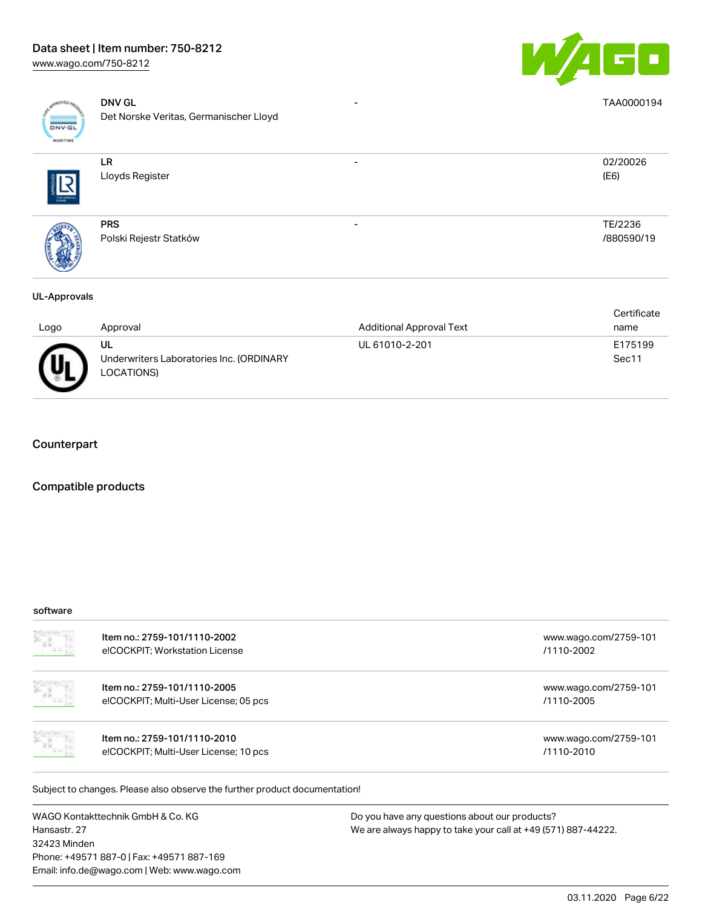

| <b>DNV-GL</b><br><b>MARITIME</b> | <b>DNV GL</b><br>Det Norske Veritas, Germanischer Lloyd | TAA0000194            |
|----------------------------------|---------------------------------------------------------|-----------------------|
| THE APPROV                       | <b>LR</b><br>Lloyds Register                            | 02/20026<br>(E6)      |
|                                  | <b>PRS</b><br>Polski Rejestr Statków                    | TE/2236<br>/880590/19 |

### UL-Approvals

|      |                                          |                                 | Certificate |
|------|------------------------------------------|---------------------------------|-------------|
| Logo | Approval                                 | <b>Additional Approval Text</b> | name        |
|      | UL                                       | UL 61010-2-201                  | E175199     |
| 佂    | Underwriters Laboratories Inc. (ORDINARY |                                 | Sec11       |
|      | LOCATIONS)                               |                                 |             |

### **Counterpart**

### Compatible products

### software

| Item no.: 2759-101/1110-2002<br>e!COCKPIT; Workstation License             | www.wago.com/2759-101<br>/1110-2002 |
|----------------------------------------------------------------------------|-------------------------------------|
| Item no.: 2759-101/1110-2005<br>e!COCKPIT; Multi-User License; 05 pcs      | www.wago.com/2759-101<br>/1110-2005 |
| Item no.: 2759-101/1110-2010<br>e!COCKPIT; Multi-User License; 10 pcs      | www.wago.com/2759-101<br>/1110-2010 |
| Subject to changes. Please also observe the further product documentation! |                                     |

WAGO Kontakttechnik GmbH & Co. KG Hansastr. 27 32423 Minden Phone: +49571 887-0 | Fax: +49571 887-169 Email: info.de@wago.com | Web: www.wago.com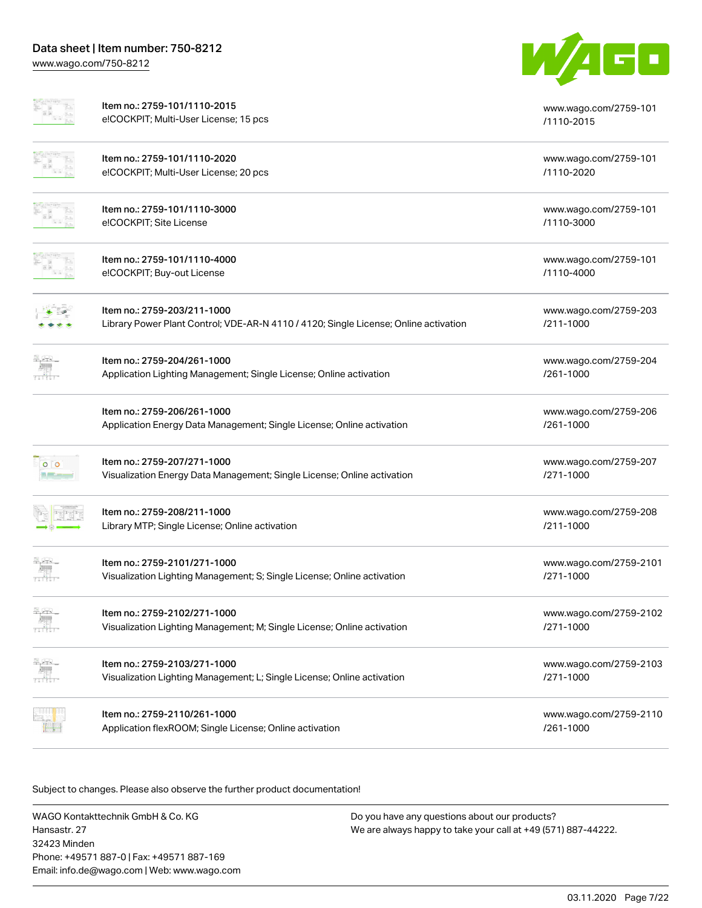

|                          | Item no.: 2759-101/1110-2015<br>e!COCKPIT; Multi-User License; 15 pcs                                               | www.wago.com/2759-101<br>/1110-2015 |
|--------------------------|---------------------------------------------------------------------------------------------------------------------|-------------------------------------|
|                          | Item no.: 2759-101/1110-2020<br>e!COCKPIT; Multi-User License; 20 pcs                                               | www.wago.com/2759-101<br>/1110-2020 |
|                          | Item no.: 2759-101/1110-3000<br>e!COCKPIT; Site License                                                             | www.wago.com/2759-101<br>/1110-3000 |
|                          | Item no.: 2759-101/1110-4000<br>e!COCKPIT; Buy-out License                                                          | www.wago.com/2759-101<br>/1110-4000 |
|                          | Item no.: 2759-203/211-1000<br>Library Power Plant Control; VDE-AR-N 4110 / 4120; Single License; Online activation | www.wago.com/2759-203<br>/211-1000  |
|                          | Item no.: 2759-204/261-1000<br>Application Lighting Management; Single License; Online activation                   | www.wago.com/2759-204<br>/261-1000  |
|                          | Item no.: 2759-206/261-1000<br>Application Energy Data Management; Single License; Online activation                | www.wago.com/2759-206<br>/261-1000  |
| 0 <sup>1</sup>           | Item no.: 2759-207/271-1000<br>Visualization Energy Data Management; Single License; Online activation              | www.wago.com/2759-207<br>/271-1000  |
|                          | Item no.: 2759-208/211-1000<br>Library MTP; Single License; Online activation                                       | www.wago.com/2759-208<br>/211-1000  |
|                          | Item no.: 2759-2101/271-1000<br>Visualization Lighting Management; S; Single License; Online activation             | www.wago.com/2759-2101<br>/271-1000 |
| 원주의                      | Item no.: 2759-2102/271-1000<br>Visualization Lighting Management; M; Single License; Online activation             | www.wago.com/2759-2102<br>/271-1000 |
| 북 25년                    | Item no.: 2759-2103/271-1000<br>Visualization Lighting Management; L; Single License; Online activation             | www.wago.com/2759-2103<br>/271-1000 |
| 7 Martin <mark>da</mark> | Item no.: 2759-2110/261-1000<br>Application flexROOM; Single License; Online activation                             | www.wago.com/2759-2110<br>/261-1000 |

Subject to changes. Please also observe the further product documentation!

WAGO Kontakttechnik GmbH & Co. KG Hansastr. 27 32423 Minden Phone: +49571 887-0 | Fax: +49571 887-169 Email: info.de@wago.com | Web: www.wago.com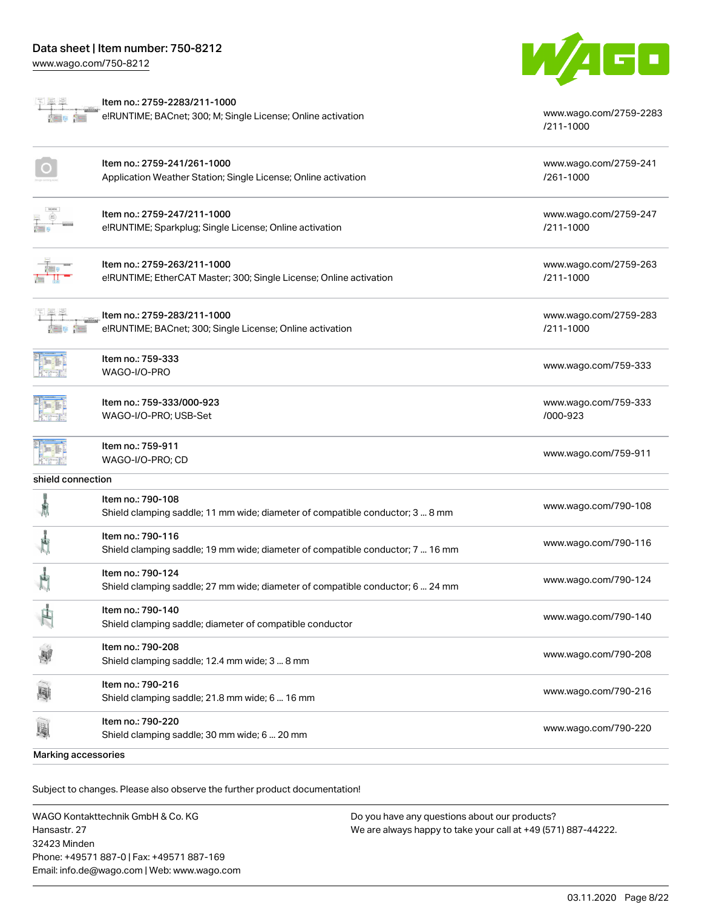[www.wago.com/750-8212](http://www.wago.com/750-8212)



[/211-1000](http://www.wago.com/2759-2283/211-1000)

| i |  |
|---|--|
|   |  |
|   |  |

Item no.: 2759-2283/211-1000 aliy<br>S

 $\overline{\phantom{a}}$ e!RUNTIME; BACnet; 300; M; Single License; Online activation [www.wago.com/2759-2283](http://www.wago.com/2759-2283/211-1000)

|                     | Item no.: 2759-241/261-1000<br>Application Weather Station; Single License; Online activation       | www.wago.com/2759-241<br>/261-1000 |
|---------------------|-----------------------------------------------------------------------------------------------------|------------------------------------|
|                     | Item no.: 2759-247/211-1000<br>e!RUNTIME; Sparkplug; Single License; Online activation              | www.wago.com/2759-247<br>/211-1000 |
|                     | Item no.: 2759-263/211-1000<br>e!RUNTIME; EtherCAT Master; 300; Single License; Online activation   | www.wago.com/2759-263<br>/211-1000 |
|                     | Item no.: 2759-283/211-1000<br>e!RUNTIME; BACnet; 300; Single License; Online activation            | www.wago.com/2759-283<br>/211-1000 |
|                     | Item no.: 759-333<br>WAGO-I/O-PRO                                                                   | www.wago.com/759-333               |
|                     | Item no.: 759-333/000-923<br>WAGO-I/O-PRO; USB-Set                                                  | www.wago.com/759-333<br>/000-923   |
|                     | Item no.: 759-911<br>WAGO-I/O-PRO; CD                                                               | www.wago.com/759-911               |
| shield connection   |                                                                                                     |                                    |
| 氰                   | Item no.: 790-108<br>Shield clamping saddle; 11 mm wide; diameter of compatible conductor; 3  8 mm  | www.wago.com/790-108               |
|                     | Item no.: 790-116<br>Shield clamping saddle; 19 mm wide; diameter of compatible conductor; 7  16 mm | www.wago.com/790-116               |
|                     | Item no.: 790-124<br>Shield clamping saddle; 27 mm wide; diameter of compatible conductor; 6  24 mm | www.wago.com/790-124               |
|                     | Item no.: 790-140<br>Shield clamping saddle; diameter of compatible conductor                       | www.wago.com/790-140               |
| 剛                   | Item no.: 790-208<br>Shield clamping saddle; 12.4 mm wide; 3  8 mm                                  | www.wago.com/790-208               |
|                     | Item no.: 790-216<br>Shield clamping saddle; 21.8 mm wide; 6  16 mm                                 | www.wago.com/790-216               |
| E                   | Item no.: 790-220<br>Shield clamping saddle; 30 mm wide; 6  20 mm                                   | www.wago.com/790-220               |
| Marking accessories |                                                                                                     |                                    |

Subject to changes. Please also observe the further product documentation!

WAGO Kontakttechnik GmbH & Co. KG Hansastr. 27 32423 Minden Phone: +49571 887-0 | Fax: +49571 887-169 Email: info.de@wago.com | Web: www.wago.com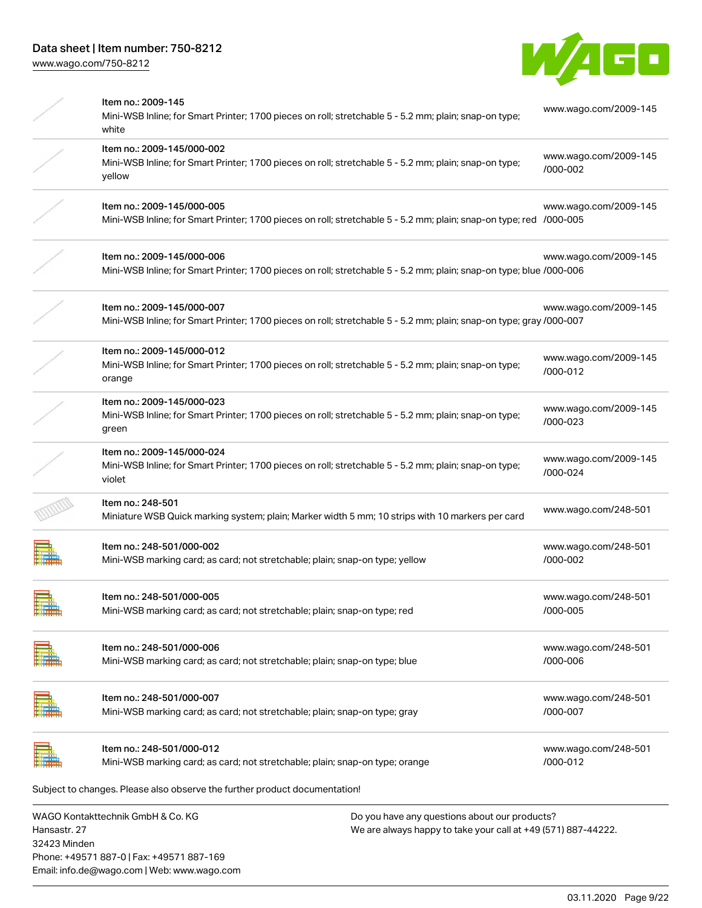

|               | Item no.: 2009-145<br>Mini-WSB Inline; for Smart Printer; 1700 pieces on roll; stretchable 5 - 5.2 mm; plain; snap-on type;<br>white              |                                                                                                               | www.wago.com/2009-145             |
|---------------|---------------------------------------------------------------------------------------------------------------------------------------------------|---------------------------------------------------------------------------------------------------------------|-----------------------------------|
|               | Item no.: 2009-145/000-002<br>Mini-WSB Inline; for Smart Printer; 1700 pieces on roll; stretchable 5 - 5.2 mm; plain; snap-on type;<br>yellow     |                                                                                                               | www.wago.com/2009-145<br>/000-002 |
|               | Item no.: 2009-145/000-005<br>Mini-WSB Inline; for Smart Printer; 1700 pieces on roll; stretchable 5 - 5.2 mm; plain; snap-on type; red /000-005  |                                                                                                               | www.wago.com/2009-145             |
|               | Item no.: 2009-145/000-006<br>Mini-WSB Inline; for Smart Printer; 1700 pieces on roll; stretchable 5 - 5.2 mm; plain; snap-on type; blue /000-006 |                                                                                                               | www.wago.com/2009-145             |
|               | Item no.: 2009-145/000-007<br>Mini-WSB Inline; for Smart Printer; 1700 pieces on roll; stretchable 5 - 5.2 mm; plain; snap-on type; gray /000-007 |                                                                                                               | www.wago.com/2009-145             |
|               | Item no.: 2009-145/000-012<br>Mini-WSB Inline; for Smart Printer; 1700 pieces on roll; stretchable 5 - 5.2 mm; plain; snap-on type;<br>orange     |                                                                                                               | www.wago.com/2009-145<br>/000-012 |
|               | Item no.: 2009-145/000-023<br>Mini-WSB Inline; for Smart Printer; 1700 pieces on roll; stretchable 5 - 5.2 mm; plain; snap-on type;<br>green      |                                                                                                               | www.wago.com/2009-145<br>/000-023 |
|               | Item no.: 2009-145/000-024<br>Mini-WSB Inline; for Smart Printer; 1700 pieces on roll; stretchable 5 - 5.2 mm; plain; snap-on type;<br>violet     |                                                                                                               | www.wago.com/2009-145<br>/000-024 |
|               | Item no.: 248-501<br>Miniature WSB Quick marking system; plain; Marker width 5 mm; 10 strips with 10 markers per card                             |                                                                                                               | www.wago.com/248-501              |
|               | Item no.: 248-501/000-002<br>Mini-WSB marking card; as card; not stretchable; plain; snap-on type; yellow                                         |                                                                                                               | www.wago.com/248-501<br>/000-002  |
| ,,,,,,,,,,,,, | Item no.: 248-501/000-005<br>Mini-WSB marking card; as card; not stretchable; plain; snap-on type; red                                            |                                                                                                               | www.wago.com/248-501<br>/000-005  |
|               | Item no.: 248-501/000-006<br>Mini-WSB marking card; as card; not stretchable; plain; snap-on type; blue                                           |                                                                                                               | www.wago.com/248-501<br>/000-006  |
|               | Item no.: 248-501/000-007<br>Mini-WSB marking card; as card; not stretchable; plain; snap-on type; gray                                           |                                                                                                               | www.wago.com/248-501<br>/000-007  |
|               | Item no.: 248-501/000-012<br>Mini-WSB marking card; as card; not stretchable; plain; snap-on type; orange                                         |                                                                                                               | www.wago.com/248-501<br>/000-012  |
|               | Subject to changes. Please also observe the further product documentation!                                                                        |                                                                                                               |                                   |
| Haneaetr 27   | WAGO Kontakttechnik GmbH & Co. KG                                                                                                                 | Do you have any questions about our products?<br>Me are always hanny to take your call at +49 (571) 887-44222 |                                   |

Hansastr. 27 32423 Minden Phone: +49571 887-0 | Fax: +49571 887-169 Email: info.de@wago.com | Web: www.wago.com We are always happy to take your call at +49 (571) 887-44222.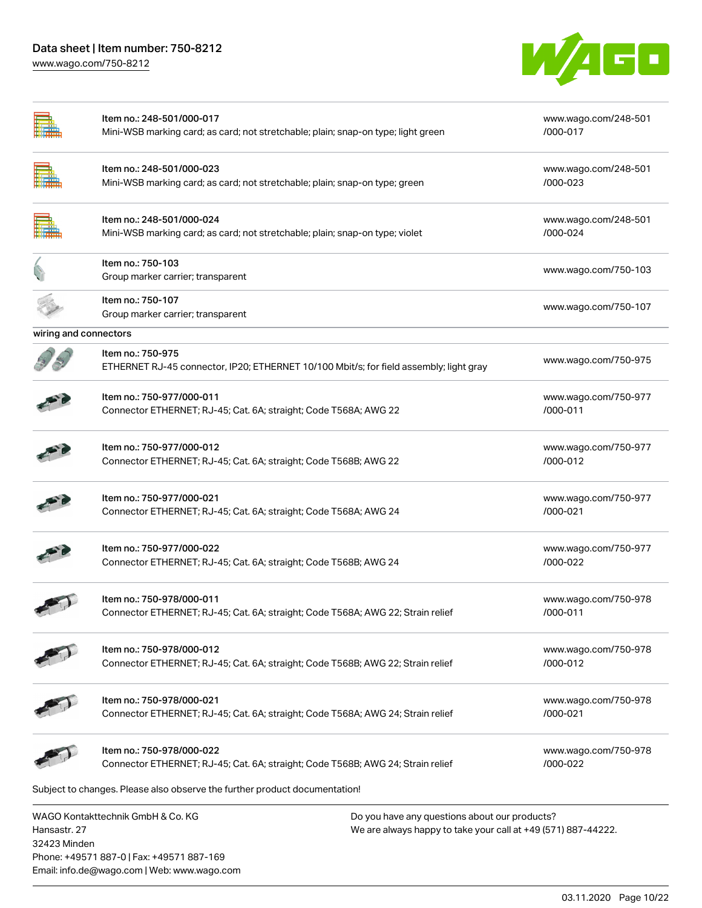Phone: +49571 887-0 | Fax: +49571 887-169 Email: info.de@wago.com | Web: www.wago.com

[www.wago.com/750-8212](http://www.wago.com/750-8212)



|                              | Item no.: 248-501/000-017<br>Mini-WSB marking card; as card; not stretchable; plain; snap-on type; light green                                      | www.wago.com/248-501<br>/000-017 |
|------------------------------|-----------------------------------------------------------------------------------------------------------------------------------------------------|----------------------------------|
|                              | Item no.: 248-501/000-023<br>Mini-WSB marking card; as card; not stretchable; plain; snap-on type; green                                            | www.wago.com/248-501<br>/000-023 |
|                              | Item no.: 248-501/000-024<br>Mini-WSB marking card; as card; not stretchable; plain; snap-on type; violet                                           | www.wago.com/248-501<br>/000-024 |
|                              | Item no.: 750-103<br>Group marker carrier; transparent                                                                                              | www.wago.com/750-103             |
|                              | Item no.: 750-107<br>Group marker carrier; transparent                                                                                              | www.wago.com/750-107             |
| wiring and connectors        |                                                                                                                                                     |                                  |
|                              | Item no.: 750-975<br>ETHERNET RJ-45 connector, IP20; ETHERNET 10/100 Mbit/s; for field assembly; light gray                                         | www.wago.com/750-975             |
|                              | Item no.: 750-977/000-011<br>Connector ETHERNET; RJ-45; Cat. 6A; straight; Code T568A; AWG 22                                                       | www.wago.com/750-977<br>/000-011 |
|                              | Item no.: 750-977/000-012<br>Connector ETHERNET; RJ-45; Cat. 6A; straight; Code T568B; AWG 22                                                       | www.wago.com/750-977<br>/000-012 |
|                              | Item no.: 750-977/000-021<br>Connector ETHERNET; RJ-45; Cat. 6A; straight; Code T568A; AWG 24                                                       | www.wago.com/750-977<br>/000-021 |
|                              | Item no.: 750-977/000-022<br>Connector ETHERNET; RJ-45; Cat. 6A; straight; Code T568B; AWG 24                                                       | www.wago.com/750-977<br>/000-022 |
|                              | Item no.: 750-978/000-011<br>Connector ETHERNET; RJ-45; Cat. 6A; straight; Code T568A; AWG 22; Strain relief                                        | www.wago.com/750-978<br>/000-011 |
|                              | Item no.: 750-978/000-012<br>Connector ETHERNET; RJ-45; Cat. 6A; straight; Code T568B; AWG 22; Strain relief                                        | www.wago.com/750-978<br>/000-012 |
|                              | Item no.: 750-978/000-021<br>Connector ETHERNET; RJ-45; Cat. 6A; straight; Code T568A; AWG 24; Strain relief                                        | www.wago.com/750-978<br>/000-021 |
|                              | Item no.: 750-978/000-022<br>Connector ETHERNET; RJ-45; Cat. 6A; straight; Code T568B; AWG 24; Strain relief                                        | www.wago.com/750-978<br>/000-022 |
|                              | Subject to changes. Please also observe the further product documentation!                                                                          |                                  |
| Hansastr, 27<br>32423 Minden | WAGO Kontakttechnik GmbH & Co. KG<br>Do you have any questions about our products?<br>We are always happy to take your call at +49 (571) 887-44222. |                                  |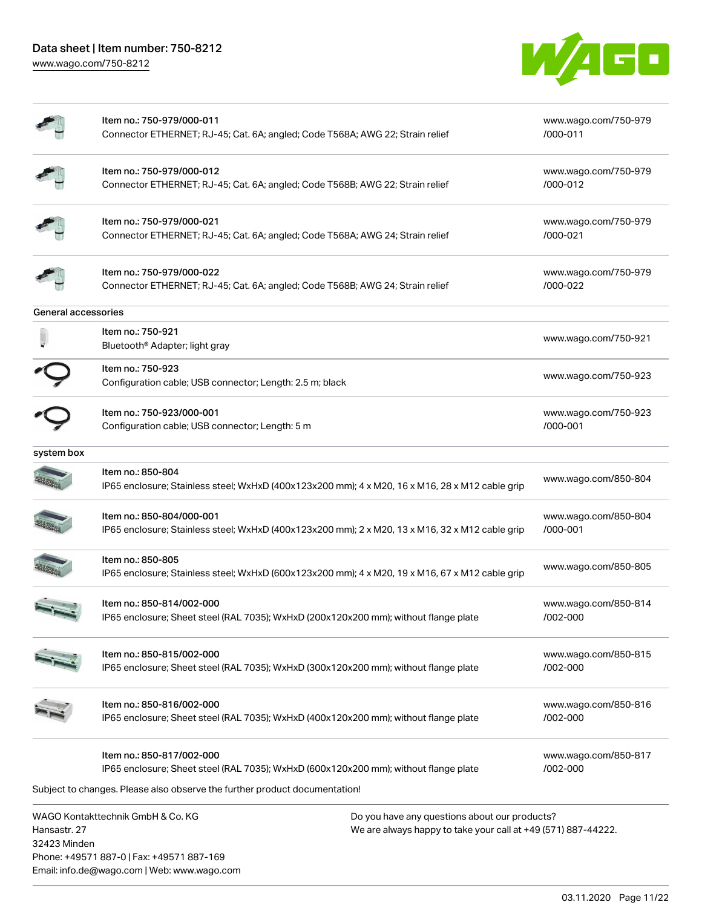Email: info.de@wago.com | Web: www.wago.com



|                              | Item no.: 750-979/000-011<br>Connector ETHERNET; RJ-45; Cat. 6A; angled; Code T568A; AWG 22; Strain relief                                                                                       | www.wago.com/750-979<br>/000-011 |
|------------------------------|--------------------------------------------------------------------------------------------------------------------------------------------------------------------------------------------------|----------------------------------|
|                              | Item no.: 750-979/000-012<br>Connector ETHERNET; RJ-45; Cat. 6A; angled; Code T568B; AWG 22; Strain relief                                                                                       | www.wago.com/750-979<br>/000-012 |
|                              | Item no.: 750-979/000-021<br>Connector ETHERNET; RJ-45; Cat. 6A; angled; Code T568A; AWG 24; Strain relief                                                                                       | www.wago.com/750-979<br>/000-021 |
|                              | Item no.: 750-979/000-022<br>Connector ETHERNET; RJ-45; Cat. 6A; angled; Code T568B; AWG 24; Strain relief                                                                                       | www.wago.com/750-979<br>/000-022 |
| General accessories          |                                                                                                                                                                                                  |                                  |
|                              | Item no.: 750-921<br>Bluetooth® Adapter; light gray                                                                                                                                              | www.wago.com/750-921             |
|                              | Item no.: 750-923<br>Configuration cable; USB connector; Length: 2.5 m; black                                                                                                                    | www.wago.com/750-923             |
|                              | Item no.: 750-923/000-001<br>Configuration cable; USB connector; Length: 5 m                                                                                                                     | www.wago.com/750-923<br>/000-001 |
| system box                   |                                                                                                                                                                                                  |                                  |
|                              | Item no.: 850-804<br>IP65 enclosure; Stainless steel; WxHxD (400x123x200 mm); 4 x M20, 16 x M16, 28 x M12 cable grip                                                                             | www.wago.com/850-804             |
|                              | Item no.: 850-804/000-001<br>IP65 enclosure; Stainless steel; WxHxD (400x123x200 mm); 2 x M20, 13 x M16, 32 x M12 cable grip                                                                     | www.wago.com/850-804<br>/000-001 |
|                              | Item no.: 850-805<br>IP65 enclosure; Stainless steel; WxHxD (600x123x200 mm); 4 x M20, 19 x M16, 67 x M12 cable grip                                                                             | www.wago.com/850-805             |
|                              | Item no.: 850-814/002-000<br>IP65 enclosure; Sheet steel (RAL 7035); WxHxD (200x120x200 mm); without flange plate                                                                                | www.wago.com/850-814<br>/002-000 |
|                              | Item no.: 850-815/002-000<br>IP65 enclosure; Sheet steel (RAL 7035); WxHxD (300x120x200 mm); without flange plate                                                                                | www.wago.com/850-815<br>/002-000 |
|                              | Item no.: 850-816/002-000<br>IP65 enclosure; Sheet steel (RAL 7035); WxHxD (400x120x200 mm); without flange plate                                                                                | www.wago.com/850-816<br>/002-000 |
|                              | Item no.: 850-817/002-000<br>IP65 enclosure; Sheet steel (RAL 7035); WxHxD (600x120x200 mm); without flange plate<br>Subject to changes. Please also observe the further product documentation!  | www.wago.com/850-817<br>/002-000 |
| Hansastr. 27<br>32423 Minden | WAGO Kontakttechnik GmbH & Co. KG<br>Do you have any questions about our products?<br>We are always happy to take your call at +49 (571) 887-44222.<br>Phone: +49571 887-0   Fax: +49571 887-169 |                                  |

03.11.2020 Page 11/22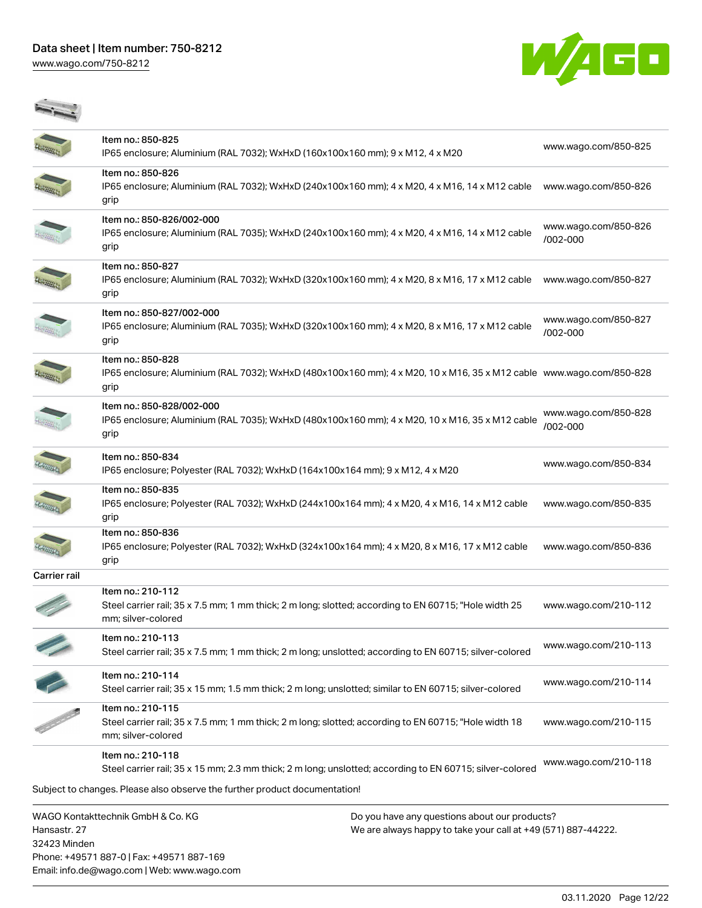Phone: +49571 887-0 | Fax: +49571 887-169 Email: info.de@wago.com | Web: www.wago.com

[www.wago.com/750-8212](http://www.wago.com/750-8212)



|                              | Item no.: 850-825<br>IP65 enclosure; Aluminium (RAL 7032); WxHxD (160x100x160 mm); 9 x M12, 4 x M20                                                 | www.wago.com/850-825             |
|------------------------------|-----------------------------------------------------------------------------------------------------------------------------------------------------|----------------------------------|
|                              | Item no.: 850-826<br>IP65 enclosure; Aluminium (RAL 7032); WxHxD (240x100x160 mm); 4 x M20, 4 x M16, 14 x M12 cable<br>grip                         | www.wago.com/850-826             |
|                              | Item no.: 850-826/002-000<br>IP65 enclosure; Aluminium (RAL 7035); WxHxD (240x100x160 mm); 4 x M20, 4 x M16, 14 x M12 cable<br>grip                 | www.wago.com/850-826<br>/002-000 |
|                              | Item no.: 850-827<br>IP65 enclosure; Aluminium (RAL 7032); WxHxD (320x100x160 mm); 4 x M20, 8 x M16, 17 x M12 cable<br>grip                         | www.wago.com/850-827             |
|                              | Item no.: 850-827/002-000<br>IP65 enclosure; Aluminium (RAL 7035); WxHxD (320x100x160 mm); 4 x M20, 8 x M16, 17 x M12 cable<br>grip                 | www.wago.com/850-827<br>/002-000 |
|                              | Item no.: 850-828<br>IP65 enclosure; Aluminium (RAL 7032); WxHxD (480x100x160 mm); 4 x M20, 10 x M16, 35 x M12 cable www.wago.com/850-828<br>grip   |                                  |
|                              | Item no.: 850-828/002-000<br>IP65 enclosure; Aluminium (RAL 7035); WxHxD (480x100x160 mm); 4 x M20, 10 x M16, 35 x M12 cable<br>grip                | www.wago.com/850-828<br>/002-000 |
|                              | Item no.: 850-834<br>IP65 enclosure; Polyester (RAL 7032); WxHxD (164x100x164 mm); 9 x M12, 4 x M20                                                 | www.wago.com/850-834             |
|                              | Item no.: 850-835<br>IP65 enclosure; Polyester (RAL 7032); WxHxD (244x100x164 mm); 4 x M20, 4 x M16, 14 x M12 cable<br>grip                         | www.wago.com/850-835             |
|                              | Item no.: 850-836<br>IP65 enclosure; Polyester (RAL 7032); WxHxD (324x100x164 mm); 4 x M20, 8 x M16, 17 x M12 cable<br>grip                         | www.wago.com/850-836             |
| <b>Carrier rail</b>          |                                                                                                                                                     |                                  |
|                              | Item no.: 210-112<br>Steel carrier rail; 35 x 7.5 mm; 1 mm thick; 2 m long; slotted; according to EN 60715; "Hole width 25<br>mm; silver-colored    | www.wago.com/210-112             |
|                              | Item no.: 210-113<br>Steel carrier rail; 35 x 7.5 mm; 1 mm thick; 2 m long; unslotted; according to EN 60715; silver-colored                        | www.wago.com/210-113             |
|                              | Item no.: 210-114<br>Steel carrier rail; 35 x 15 mm; 1.5 mm thick; 2 m long; unslotted; similar to EN 60715; silver-colored                         | www.wago.com/210-114             |
|                              | Item no.: 210-115<br>Steel carrier rail; 35 x 7.5 mm; 1 mm thick; 2 m long; slotted; according to EN 60715; "Hole width 18<br>mm; silver-colored    | www.wago.com/210-115             |
|                              | Item no.: 210-118<br>Steel carrier rail; 35 x 15 mm; 2.3 mm thick; 2 m long; unslotted; according to EN 60715; silver-colored                       | www.wago.com/210-118             |
|                              | Subject to changes. Please also observe the further product documentation!                                                                          |                                  |
| Hansastr. 27<br>32423 Minden | WAGO Kontakttechnik GmbH & Co. KG<br>Do you have any questions about our products?<br>We are always happy to take your call at +49 (571) 887-44222. |                                  |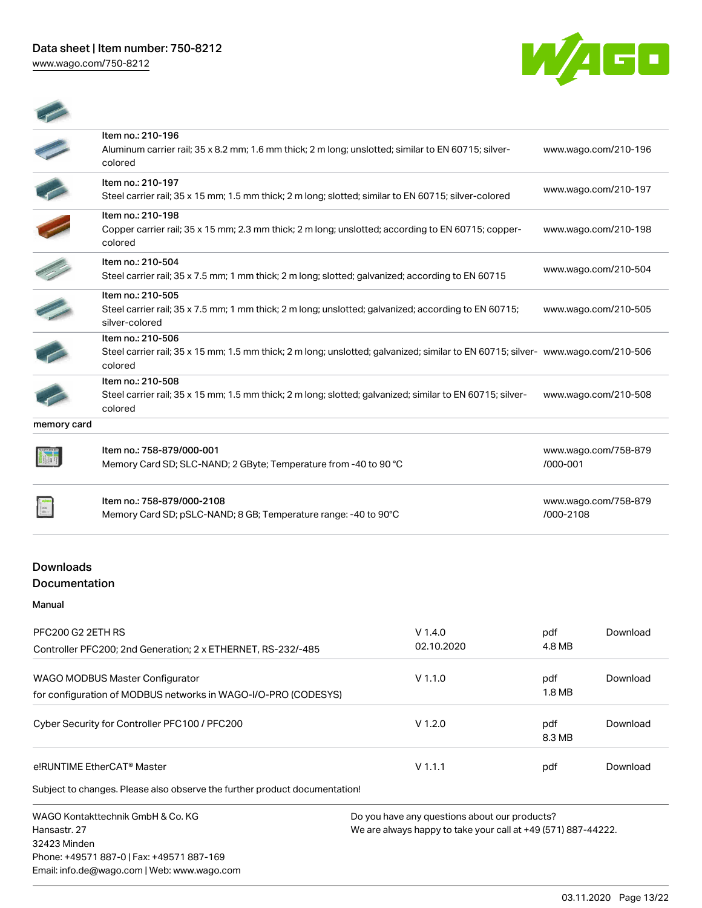[www.wago.com/750-8212](http://www.wago.com/750-8212)



|                   | Item no.: 210-508<br>Steel carrier rail; 35 x 15 mm; 1.5 mm thick; 2 m long; slotted; galvanized; similar to EN 60715; silver-                                   | www.wago.com/210-508 |
|-------------------|------------------------------------------------------------------------------------------------------------------------------------------------------------------|----------------------|
|                   |                                                                                                                                                                  |                      |
|                   | Item no.: 210-506<br>Steel carrier rail; 35 x 15 mm; 1.5 mm thick; 2 m long; unslotted; galvanized; similar to EN 60715; silver- www.wago.com/210-506<br>colored |                      |
|                   | Item no.: 210-505<br>Steel carrier rail; 35 x 7.5 mm; 1 mm thick; 2 m long; unslotted; galvanized; according to EN 60715;<br>silver-colored                      | www.wago.com/210-505 |
|                   | Item no.: 210-504<br>Steel carrier rail; 35 x 7.5 mm; 1 mm thick; 2 m long; slotted; galvanized; according to EN 60715                                           | www.wago.com/210-504 |
| <b>CONTRACTOR</b> | Item no.: 210-198<br>Copper carrier rail; 35 x 15 mm; 2.3 mm thick; 2 m long; unslotted; according to EN 60715; copper-<br>colored                               | www.wago.com/210-198 |
|                   | colored<br>Item no.: 210-197<br>Steel carrier rail; 35 x 15 mm; 1.5 mm thick; 2 m long; slotted; similar to EN 60715; silver-colored                             | www.wago.com/210-197 |

| Controller PFC200; 2nd Generation; 2 x ETHERNET, RS-232/-485                                      | 02.10.2020 | 4.8 MB        |          |
|---------------------------------------------------------------------------------------------------|------------|---------------|----------|
| WAGO MODBUS Master Configurator<br>for configuration of MODBUS networks in WAGO-I/O-PRO (CODESYS) | $V$ 1.1.0  | pdf<br>1.8 MB | Download |
| Cyber Security for Controller PFC100 / PFC200                                                     | $V$ 1.2.0  | pdf<br>8.3 MB | Download |
| e!RUNTIME EtherCAT <sup>®</sup> Master                                                            | $V$ 1.1.1  | pdf           | Download |
| Subject to changes. Please also observe the further product documentation!                        |            |               |          |

WAGO Kontakttechnik GmbH & Co. KG Hansastr. 27 32423 Minden Phone: +49571 887-0 | Fax: +49571 887-169 Email: info.de@wago.com | Web: www.wago.com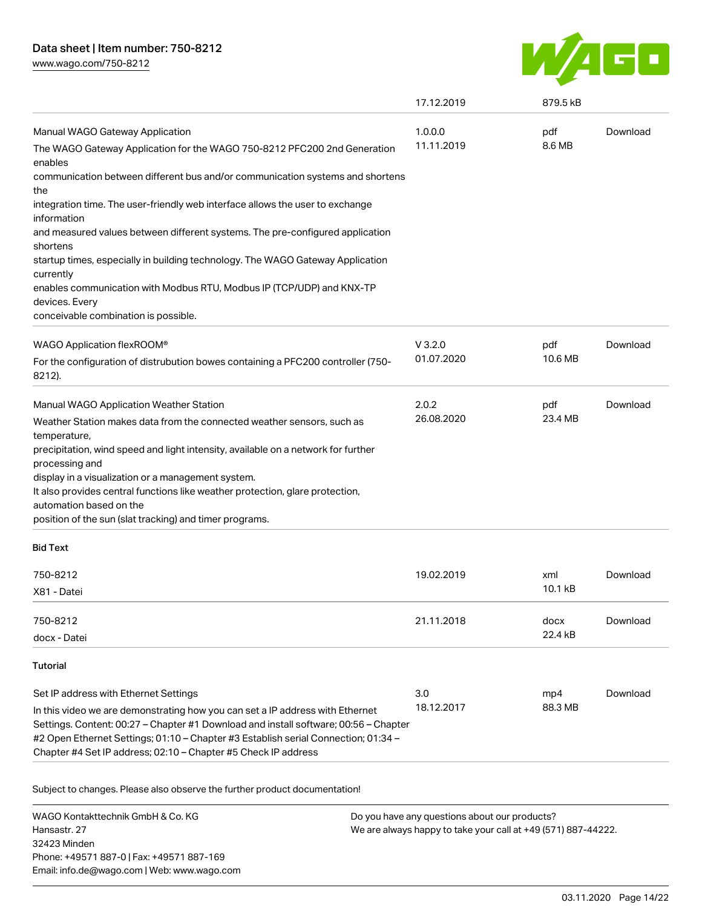[www.wago.com/750-8212](http://www.wago.com/750-8212)



|                                                                                                                                                                                                                                                                                                                               | 17.12.2019 | 879.5 kB |          |
|-------------------------------------------------------------------------------------------------------------------------------------------------------------------------------------------------------------------------------------------------------------------------------------------------------------------------------|------------|----------|----------|
| Manual WAGO Gateway Application                                                                                                                                                                                                                                                                                               | 1.0.0.0    | pdf      | Download |
| The WAGO Gateway Application for the WAGO 750-8212 PFC200 2nd Generation<br>enables                                                                                                                                                                                                                                           | 11.11.2019 | 8.6 MB   |          |
| communication between different bus and/or communication systems and shortens<br>the                                                                                                                                                                                                                                          |            |          |          |
| integration time. The user-friendly web interface allows the user to exchange<br>information                                                                                                                                                                                                                                  |            |          |          |
| and measured values between different systems. The pre-configured application<br>shortens                                                                                                                                                                                                                                     |            |          |          |
| startup times, especially in building technology. The WAGO Gateway Application<br>currently                                                                                                                                                                                                                                   |            |          |          |
| enables communication with Modbus RTU, Modbus IP (TCP/UDP) and KNX-TP<br>devices. Every                                                                                                                                                                                                                                       |            |          |          |
| conceivable combination is possible.                                                                                                                                                                                                                                                                                          |            |          |          |
| WAGO Application flexROOM®                                                                                                                                                                                                                                                                                                    | $V$ 3.2.0  | pdf      | Download |
| For the configuration of distrubution bowes containing a PFC200 controller (750-<br>8212).                                                                                                                                                                                                                                    | 01.07.2020 | 10.6 MB  |          |
| Manual WAGO Application Weather Station                                                                                                                                                                                                                                                                                       | 2.0.2      | pdf      | Download |
| Weather Station makes data from the connected weather sensors, such as<br>temperature,                                                                                                                                                                                                                                        | 26.08.2020 | 23.4 MB  |          |
| precipitation, wind speed and light intensity, available on a network for further<br>processing and                                                                                                                                                                                                                           |            |          |          |
| display in a visualization or a management system.                                                                                                                                                                                                                                                                            |            |          |          |
| It also provides central functions like weather protection, glare protection,<br>automation based on the                                                                                                                                                                                                                      |            |          |          |
| position of the sun (slat tracking) and timer programs.                                                                                                                                                                                                                                                                       |            |          |          |
| <b>Bid Text</b>                                                                                                                                                                                                                                                                                                               |            |          |          |
| 750-8212                                                                                                                                                                                                                                                                                                                      | 19.02.2019 | xml      | Download |
| X81 - Datei                                                                                                                                                                                                                                                                                                                   |            | 10.1 kB  |          |
| 750-8212                                                                                                                                                                                                                                                                                                                      | 21.11.2018 | docx     | Download |
| docx - Datei                                                                                                                                                                                                                                                                                                                  |            | 22.4 kB  |          |
| <b>Tutorial</b>                                                                                                                                                                                                                                                                                                               |            |          |          |
| Set IP address with Ethernet Settings                                                                                                                                                                                                                                                                                         | 3.0        | mp4      | Download |
| In this video we are demonstrating how you can set a IP address with Ethernet<br>Settings. Content: 00:27 - Chapter #1 Download and install software; 00:56 - Chapter<br>#2 Open Ethernet Settings; 01:10 - Chapter #3 Establish serial Connection; 01:34 -<br>Chapter #4 Set IP address; 02:10 - Chapter #5 Check IP address | 18.12.2017 | 88.3 MB  |          |

Subject to changes. Please also observe the further product documentation!

WAGO Kontakttechnik GmbH & Co. KG Hansastr. 27 32423 Minden Phone: +49571 887-0 | Fax: +49571 887-169 Email: info.de@wago.com | Web: www.wago.com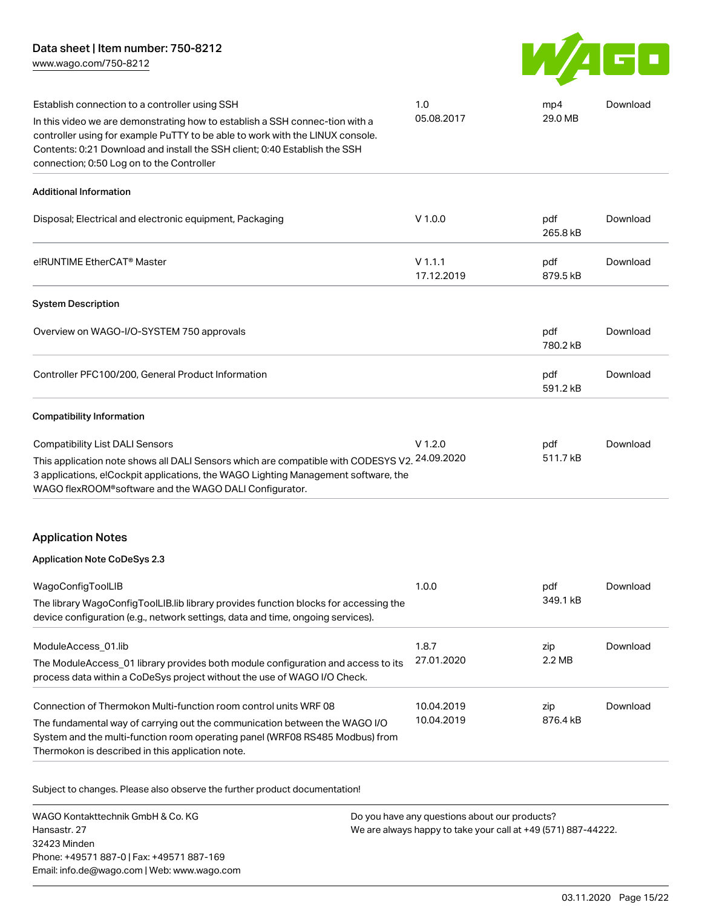[www.wago.com/750-8212](http://www.wago.com/750-8212)



| Establish connection to a controller using SSH                                                                                                                                                                                                                                           | 1.0                      | mp4             | Download |
|------------------------------------------------------------------------------------------------------------------------------------------------------------------------------------------------------------------------------------------------------------------------------------------|--------------------------|-----------------|----------|
| In this video we are demonstrating how to establish a SSH connec-tion with a<br>controller using for example PuTTY to be able to work with the LINUX console.<br>Contents: 0:21 Download and install the SSH client; 0:40 Establish the SSH<br>connection; 0:50 Log on to the Controller | 05.08.2017               | 29.0 MB         |          |
| <b>Additional Information</b>                                                                                                                                                                                                                                                            |                          |                 |          |
| Disposal; Electrical and electronic equipment, Packaging                                                                                                                                                                                                                                 | $V$ 1.0.0                | pdf<br>265.8 kB | Download |
| e!RUNTIME EtherCAT <sup>®</sup> Master                                                                                                                                                                                                                                                   | $V$ 1.1.1<br>17.12.2019  | pdf<br>879.5 kB | Download |
| <b>System Description</b>                                                                                                                                                                                                                                                                |                          |                 |          |
| Overview on WAGO-I/O-SYSTEM 750 approvals                                                                                                                                                                                                                                                |                          | pdf<br>780.2 kB | Download |
| Controller PFC100/200, General Product Information                                                                                                                                                                                                                                       |                          | pdf<br>591.2 kB | Download |
| <b>Compatibility Information</b>                                                                                                                                                                                                                                                         |                          |                 |          |
| <b>Compatibility List DALI Sensors</b><br>This application note shows all DALI Sensors which are compatible with CODESYS V2. 24.09.2020<br>3 applications, e!Cockpit applications, the WAGO Lighting Management software, the<br>WAGO flexROOM®software and the WAGO DALI Configurator.  | $V$ 1.2.0                | pdf<br>511.7 kB | Download |
| <b>Application Notes</b>                                                                                                                                                                                                                                                                 |                          |                 |          |
| <b>Application Note CoDeSys 2.3</b>                                                                                                                                                                                                                                                      |                          |                 |          |
| WagoConfigToolLIB<br>The library WagoConfigToolLIB.lib library provides function blocks for accessing the<br>device configuration (e.g., network settings, data and time, ongoing services).                                                                                             | 1.0.0                    | pdf<br>349.1 kB | Download |
| ModuleAccess_01.lib<br>The ModuleAccess_01 library provides both module configuration and access to its<br>process data within a CoDeSys project without the use of WAGO I/O Check.                                                                                                      | 1.8.7<br>27.01.2020      | zip<br>2.2 MB   | Download |
| Connection of Thermokon Multi-function room control units WRF 08<br>The fundamental way of carrying out the communication between the WAGO I/O<br>System and the multi-function room operating panel (WRF08 RS485 Modbus) from<br>Thermokon is described in this application note.       | 10.04.2019<br>10.04.2019 | zip<br>876.4 kB | Download |

Subject to changes. Please also observe the further product documentation!

WAGO Kontakttechnik GmbH & Co. KG Hansastr. 27 32423 Minden Phone: +49571 887-0 | Fax: +49571 887-169 Email: info.de@wago.com | Web: www.wago.com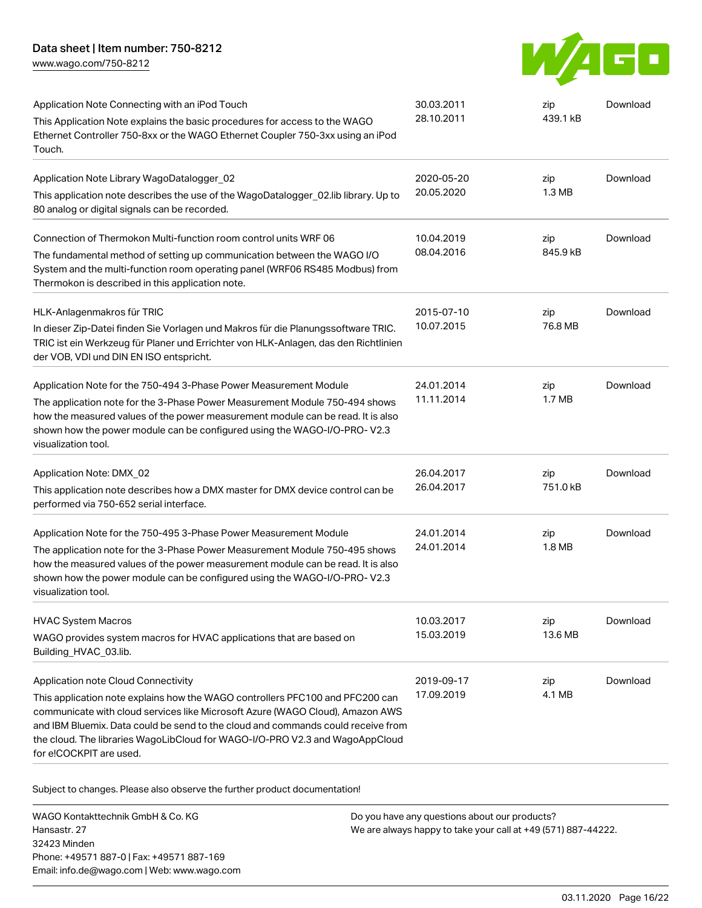[www.wago.com/750-8212](http://www.wago.com/750-8212)



| Application Note Connecting with an iPod Touch                                                                                                                                                                                                                                                                                                                | 30.03.2011<br>28.10.2011 | zip<br>439.1 kB | Download |
|---------------------------------------------------------------------------------------------------------------------------------------------------------------------------------------------------------------------------------------------------------------------------------------------------------------------------------------------------------------|--------------------------|-----------------|----------|
| This Application Note explains the basic procedures for access to the WAGO<br>Ethernet Controller 750-8xx or the WAGO Ethernet Coupler 750-3xx using an iPod<br>Touch.                                                                                                                                                                                        |                          |                 |          |
| Application Note Library WagoDatalogger_02                                                                                                                                                                                                                                                                                                                    | 2020-05-20               | zip             | Download |
| This application note describes the use of the WagoDatalogger_02.lib library. Up to<br>80 analog or digital signals can be recorded.                                                                                                                                                                                                                          | 20.05.2020               | 1.3 MB          |          |
| Connection of Thermokon Multi-function room control units WRF 06                                                                                                                                                                                                                                                                                              | 10.04.2019               | zip             | Download |
| The fundamental method of setting up communication between the WAGO I/O<br>System and the multi-function room operating panel (WRF06 RS485 Modbus) from<br>Thermokon is described in this application note.                                                                                                                                                   | 08.04.2016               | 845.9 kB        |          |
| HLK-Anlagenmakros für TRIC                                                                                                                                                                                                                                                                                                                                    | 2015-07-10               | zip             | Download |
| In dieser Zip-Datei finden Sie Vorlagen und Makros für die Planungssoftware TRIC.<br>TRIC ist ein Werkzeug für Planer und Errichter von HLK-Anlagen, das den Richtlinien<br>der VOB, VDI und DIN EN ISO entspricht.                                                                                                                                           | 10.07.2015               | 76.8 MB         |          |
| Application Note for the 750-494 3-Phase Power Measurement Module                                                                                                                                                                                                                                                                                             | 24.01.2014               | zip             | Download |
| The application note for the 3-Phase Power Measurement Module 750-494 shows<br>how the measured values of the power measurement module can be read. It is also<br>shown how the power module can be configured using the WAGO-I/O-PRO-V2.3<br>visualization tool.                                                                                             | 11.11.2014               | 1.7 MB          |          |
| Application Note: DMX 02                                                                                                                                                                                                                                                                                                                                      | 26.04.2017               | zip             | Download |
| This application note describes how a DMX master for DMX device control can be<br>performed via 750-652 serial interface.                                                                                                                                                                                                                                     | 26.04.2017               | 751.0 kB        |          |
| Application Note for the 750-495 3-Phase Power Measurement Module                                                                                                                                                                                                                                                                                             | 24.01.2014               | zip             | Download |
| The application note for the 3-Phase Power Measurement Module 750-495 shows<br>how the measured values of the power measurement module can be read. It is also<br>shown how the power module can be configured using the WAGO-I/O-PRO-V2.3<br>visualization tool.                                                                                             | 24.01.2014               | 1.8 MB          |          |
| <b>HVAC System Macros</b>                                                                                                                                                                                                                                                                                                                                     | 10.03.2017               | zip             | Download |
| WAGO provides system macros for HVAC applications that are based on<br>Building_HVAC_03.lib.                                                                                                                                                                                                                                                                  | 15.03.2019               | 13.6 MB         |          |
| Application note Cloud Connectivity                                                                                                                                                                                                                                                                                                                           | 2019-09-17               | zip             | Download |
| This application note explains how the WAGO controllers PFC100 and PFC200 can<br>communicate with cloud services like Microsoft Azure (WAGO Cloud), Amazon AWS<br>and IBM Bluemix. Data could be send to the cloud and commands could receive from<br>the cloud. The libraries WagoLibCloud for WAGO-I/O-PRO V2.3 and WagoAppCloud<br>for e!COCKPIT are used. | 17.09.2019               | 4.1 MB          |          |

Subject to changes. Please also observe the further product documentation!

WAGO Kontakttechnik GmbH & Co. KG Hansastr. 27 32423 Minden Phone: +49571 887-0 | Fax: +49571 887-169 Email: info.de@wago.com | Web: www.wago.com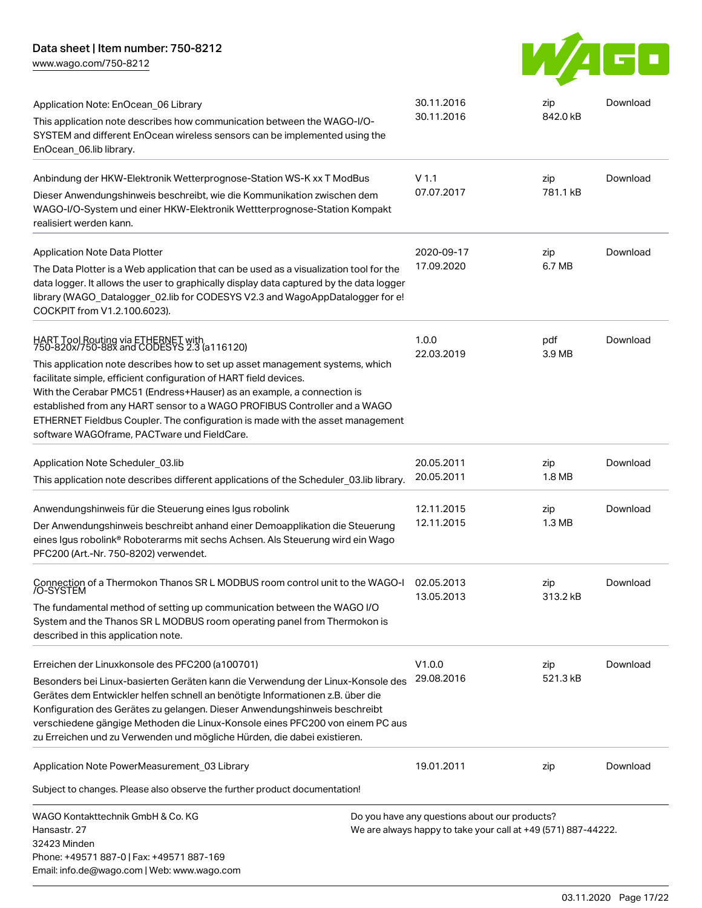[www.wago.com/750-8212](http://www.wago.com/750-8212)



| Application Note: EnOcean 06 Library<br>This application note describes how communication between the WAGO-I/O-<br>SYSTEM and different EnOcean wireless sensors can be implemented using the<br>EnOcean_06.lib library.                                                                                                                                                                                                                                                                                                        | 30.11.2016<br>30.11.2016                                                                                       | zip<br>842.0 kB          | Download |
|---------------------------------------------------------------------------------------------------------------------------------------------------------------------------------------------------------------------------------------------------------------------------------------------------------------------------------------------------------------------------------------------------------------------------------------------------------------------------------------------------------------------------------|----------------------------------------------------------------------------------------------------------------|--------------------------|----------|
| Anbindung der HKW-Elektronik Wetterprognose-Station WS-K xx T ModBus<br>Dieser Anwendungshinweis beschreibt, wie die Kommunikation zwischen dem<br>WAGO-I/O-System und einer HKW-Elektronik Wettterprognose-Station Kompakt<br>realisiert werden kann.                                                                                                                                                                                                                                                                          | V <sub>1.1</sub><br>07.07.2017                                                                                 | zip<br>781.1 kB          | Download |
| <b>Application Note Data Plotter</b><br>The Data Plotter is a Web application that can be used as a visualization tool for the<br>data logger. It allows the user to graphically display data captured by the data logger<br>library (WAGO Datalogger 02.lib for CODESYS V2.3 and WagoAppDatalogger for e!<br>COCKPIT from V1.2.100.6023).                                                                                                                                                                                      | 2020-09-17<br>17.09.2020                                                                                       | zip<br>6.7 MB            | Download |
| HART Tool Routing via ETHERNET with<br>750-820x/750-88x and CODESYS 2.3 (a116120)<br>This application note describes how to set up asset management systems, which<br>facilitate simple, efficient configuration of HART field devices.<br>With the Cerabar PMC51 (Endress+Hauser) as an example, a connection is<br>established from any HART sensor to a WAGO PROFIBUS Controller and a WAGO<br>ETHERNET Fieldbus Coupler. The configuration is made with the asset management<br>software WAGOframe, PACTware und FieldCare. | 1.0.0<br>22.03.2019                                                                                            | pdf<br>3.9 MB            | Download |
| Application Note Scheduler 03.lib<br>This application note describes different applications of the Scheduler_03.lib library.                                                                                                                                                                                                                                                                                                                                                                                                    | 20.05.2011<br>20.05.2011                                                                                       | zip<br>1.8 MB            | Download |
| Anwendungshinweis für die Steuerung eines Igus robolink<br>Der Anwendungshinweis beschreibt anhand einer Demoapplikation die Steuerung<br>eines Igus robolink® Roboterarms mit sechs Achsen. Als Steuerung wird ein Wago<br>PFC200 (Art.-Nr. 750-8202) verwendet.                                                                                                                                                                                                                                                               | 12.11.2015<br>12.11.2015                                                                                       | zip<br>1.3 <sub>MB</sub> | Download |
| Connection of a Thermokon Thanos SR L MODBUS room control unit to the WAGO-I<br>/O-SYSTEM<br>The fundamental method of setting up communication between the WAGO I/O<br>System and the Thanos SR L MODBUS room operating panel from Thermokon is<br>described in this application note.                                                                                                                                                                                                                                         | 02.05.2013<br>13.05.2013                                                                                       | zip<br>313.2 kB          | Download |
| Erreichen der Linuxkonsole des PFC200 (a100701)<br>Besonders bei Linux-basierten Geräten kann die Verwendung der Linux-Konsole des<br>Gerätes dem Entwickler helfen schnell an benötigte Informationen z.B. über die<br>Konfiguration des Gerätes zu gelangen. Dieser Anwendungshinweis beschreibt<br>verschiedene gängige Methoden die Linux-Konsole eines PFC200 von einem PC aus<br>zu Erreichen und zu Verwenden und mögliche Hürden, die dabei existieren.                                                                 | V1.0.0<br>29.08.2016                                                                                           | zip<br>521.3 kB          | Download |
| Application Note PowerMeasurement_03 Library                                                                                                                                                                                                                                                                                                                                                                                                                                                                                    | 19.01.2011                                                                                                     | zip                      | Download |
| Subject to changes. Please also observe the further product documentation!                                                                                                                                                                                                                                                                                                                                                                                                                                                      |                                                                                                                |                          |          |
| WAGO Kontakttechnik GmbH & Co. KG<br>Hansastr, 27<br>32423 Minden<br>Phone: +49571 887-0   Fax: +49571 887-169<br>Email: info.de@wago.com   Web: www.wago.com                                                                                                                                                                                                                                                                                                                                                                   | Do you have any questions about our products?<br>We are always happy to take your call at +49 (571) 887-44222. |                          |          |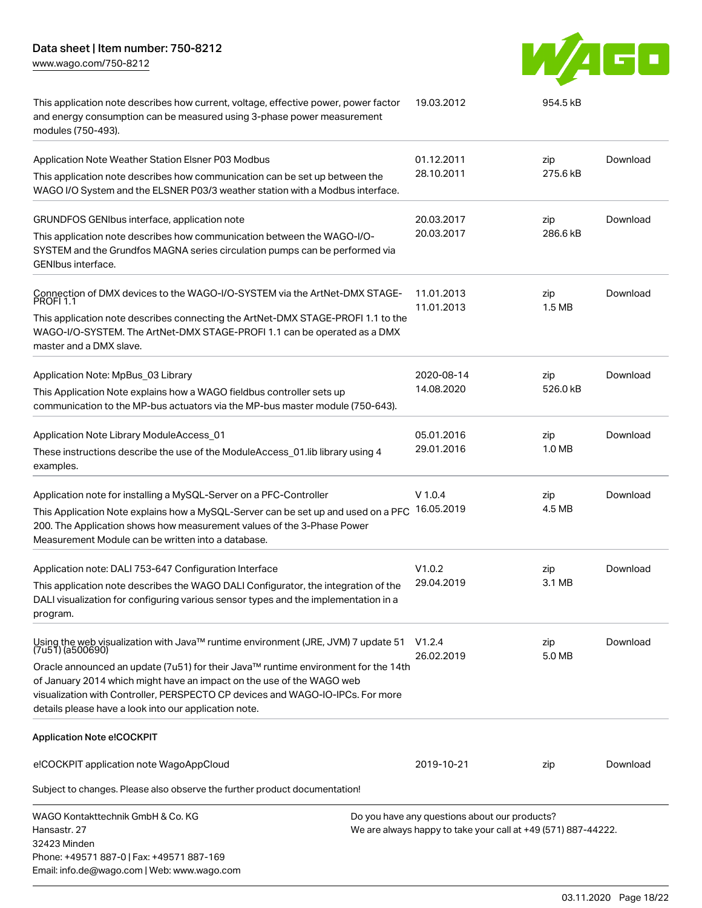Email: info.de@wago.com | Web: www.wago.com

[www.wago.com/750-8212](http://www.wago.com/750-8212)



| This application note describes how current, voltage, effective power, power factor<br>and energy consumption can be measured using 3-phase power measurement<br>modules (750-493).                                                                                                                    | 19.03.2012                                                                                                     | 954.5 kB          |          |
|--------------------------------------------------------------------------------------------------------------------------------------------------------------------------------------------------------------------------------------------------------------------------------------------------------|----------------------------------------------------------------------------------------------------------------|-------------------|----------|
| Application Note Weather Station Elsner P03 Modbus                                                                                                                                                                                                                                                     | 01.12.2011                                                                                                     | zip               | Download |
| This application note describes how communication can be set up between the<br>WAGO I/O System and the ELSNER P03/3 weather station with a Modbus interface.                                                                                                                                           | 28.10.2011                                                                                                     | 275.6 kB          |          |
| GRUNDFOS GENIbus interface, application note                                                                                                                                                                                                                                                           | 20.03.2017                                                                                                     | zip               | Download |
| This application note describes how communication between the WAGO-I/O-<br>SYSTEM and the Grundfos MAGNA series circulation pumps can be performed via<br>GENIbus interface.                                                                                                                           | 20.03.2017                                                                                                     | 286.6 kB          |          |
| Connection of DMX devices to the WAGO-I/O-SYSTEM via the ArtNet-DMX STAGE-<br><b>PROFI 1.1</b>                                                                                                                                                                                                         | 11.01.2013<br>11.01.2013                                                                                       | zip<br>1.5 MB     | Download |
| This application note describes connecting the ArtNet-DMX STAGE-PROFI 1.1 to the<br>WAGO-I/O-SYSTEM. The ArtNet-DMX STAGE-PROFI 1.1 can be operated as a DMX<br>master and a DMX slave.                                                                                                                |                                                                                                                |                   |          |
| Application Note: MpBus_03 Library                                                                                                                                                                                                                                                                     | 2020-08-14                                                                                                     | zip               | Download |
| This Application Note explains how a WAGO fieldbus controller sets up<br>communication to the MP-bus actuators via the MP-bus master module (750-643).                                                                                                                                                 | 14.08.2020                                                                                                     | 526.0 kB          |          |
| Application Note Library ModuleAccess_01                                                                                                                                                                                                                                                               | 05.01.2016                                                                                                     | zip               | Download |
| These instructions describe the use of the ModuleAccess_01.lib library using 4<br>examples.                                                                                                                                                                                                            | 29.01.2016                                                                                                     | 1.0 <sub>MB</sub> |          |
| Application note for installing a MySQL-Server on a PFC-Controller<br>This Application Note explains how a MySQL-Server can be set up and used on a PFC<br>200. The Application shows how measurement values of the 3-Phase Power<br>Measurement Module can be written into a database.                | $V$ 1.0.4<br>16.05.2019                                                                                        | zip<br>4.5 MB     | Download |
| Application note: DALI 753-647 Configuration Interface                                                                                                                                                                                                                                                 | V1.0.2                                                                                                         | zip               | Download |
| This application note describes the WAGO DALI Configurator, the integration of the<br>DALI visualization for configuring various sensor types and the implementation in a<br>program.                                                                                                                  | 29.04.2019                                                                                                     | 3.1 MB            |          |
| Using the web visualization with Java™ runtime environment (JRE, JVM) 7 update 51<br>(7u51)(a500690)                                                                                                                                                                                                   | V1.2.4<br>26.02.2019                                                                                           | zip<br>5.0 MB     | Download |
| Oracle announced an update (7u51) for their Java™ runtime environment for the 14th<br>of January 2014 which might have an impact on the use of the WAGO web<br>visualization with Controller, PERSPECTO CP devices and WAGO-IO-IPCs. For more<br>details please have a look into our application note. |                                                                                                                |                   |          |
| <b>Application Note e!COCKPIT</b>                                                                                                                                                                                                                                                                      |                                                                                                                |                   |          |
| e!COCKPIT application note WagoAppCloud                                                                                                                                                                                                                                                                | 2019-10-21                                                                                                     | zip               | Download |
| Subject to changes. Please also observe the further product documentation!                                                                                                                                                                                                                             |                                                                                                                |                   |          |
| WAGO Kontakttechnik GmbH & Co. KG<br>Hansastr. 27<br>32423 Minden<br>Phone: +49571 887-0   Fax: +49571 887-169                                                                                                                                                                                         | Do you have any questions about our products?<br>We are always happy to take your call at +49 (571) 887-44222. |                   |          |

03.11.2020 Page 18/22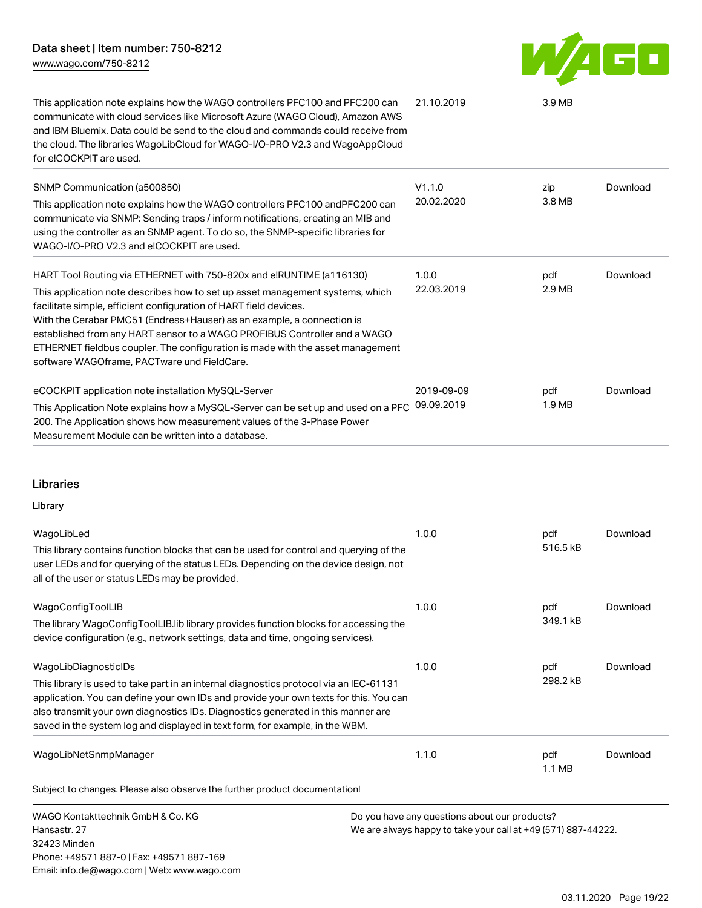**AGO** W

| This application note explains how the WAGO controllers PFC100 and PFC200 can<br>communicate with cloud services like Microsoft Azure (WAGO Cloud), Amazon AWS<br>and IBM Bluemix. Data could be send to the cloud and commands could receive from<br>the cloud. The libraries WagoLibCloud for WAGO-I/O-PRO V2.3 and WagoAppCloud<br>for e!COCKPIT are used.                                                                                                                                                      | 21.10.2019               | 3.9 <sub>MB</sub> |          |
|--------------------------------------------------------------------------------------------------------------------------------------------------------------------------------------------------------------------------------------------------------------------------------------------------------------------------------------------------------------------------------------------------------------------------------------------------------------------------------------------------------------------|--------------------------|-------------------|----------|
| SNMP Communication (a500850)<br>This application note explains how the WAGO controllers PFC100 and PFC200 can<br>communicate via SNMP: Sending traps / inform notifications, creating an MIB and<br>using the controller as an SNMP agent. To do so, the SNMP-specific libraries for<br>WAGO-I/O-PRO V2.3 and e!COCKPIT are used.                                                                                                                                                                                  | V1.1.0<br>20.02.2020     | zip<br>3.8 MB     | Download |
| HART Tool Routing via ETHERNET with 750-820x and e!RUNTIME (a116130)<br>This application note describes how to set up asset management systems, which<br>facilitate simple, efficient configuration of HART field devices.<br>With the Cerabar PMC51 (Endress+Hauser) as an example, a connection is<br>established from any HART sensor to a WAGO PROFIBUS Controller and a WAGO<br>ETHERNET fieldbus coupler. The configuration is made with the asset management<br>software WAGOframe, PACTware und FieldCare. | 1.0.0<br>22.03.2019      | pdf<br>2.9 MB     | Download |
| eCOCKPIT application note installation MySQL-Server<br>This Application Note explains how a MySQL-Server can be set up and used on a PFC<br>200. The Application shows how measurement values of the 3-Phase Power<br>Measurement Module can be written into a database.                                                                                                                                                                                                                                           | 2019-09-09<br>09.09.2019 | pdf<br>1.9 MB     | Download |

### Libraries

### Library

| WagoLibLed<br>This library contains function blocks that can be used for control and querying of the<br>user LEDs and for querying of the status LEDs. Depending on the device design, not<br>all of the user or status LEDs may be provided.                                                                                                                               | 1.0.0                                         | pdf<br>516.5 kB | Download |
|-----------------------------------------------------------------------------------------------------------------------------------------------------------------------------------------------------------------------------------------------------------------------------------------------------------------------------------------------------------------------------|-----------------------------------------------|-----------------|----------|
| WagoConfigToolLIB<br>The library WagoConfigToolLIB. Iib library provides function blocks for accessing the<br>device configuration (e.g., network settings, data and time, ongoing services).                                                                                                                                                                               | 1.0.0                                         | pdf<br>349.1 kB | Download |
| WagoLibDiagnosticIDs<br>This library is used to take part in an internal diagnostics protocol via an IEC-61131<br>application. You can define your own IDs and provide your own texts for this. You can<br>also transmit your own diagnostics IDs. Diagnostics generated in this manner are<br>saved in the system log and displayed in text form, for example, in the WBM. | 1.0.0                                         | pdf<br>298.2 kB | Download |
| WagoLibNetSnmpManager<br>Subject to changes. Please also observe the further product documentation!                                                                                                                                                                                                                                                                         | 1.1.0                                         | pdf<br>1.1 MB   | Download |
| WAGO Kontakttechnik GmbH & Co. KG                                                                                                                                                                                                                                                                                                                                           | Do you have any questions about our products? |                 |          |

Hansastr. 27 32423 Minden Phone: +49571 887-0 | Fax: +49571 887-169 Email: info.de@wago.com | Web: www.wago.com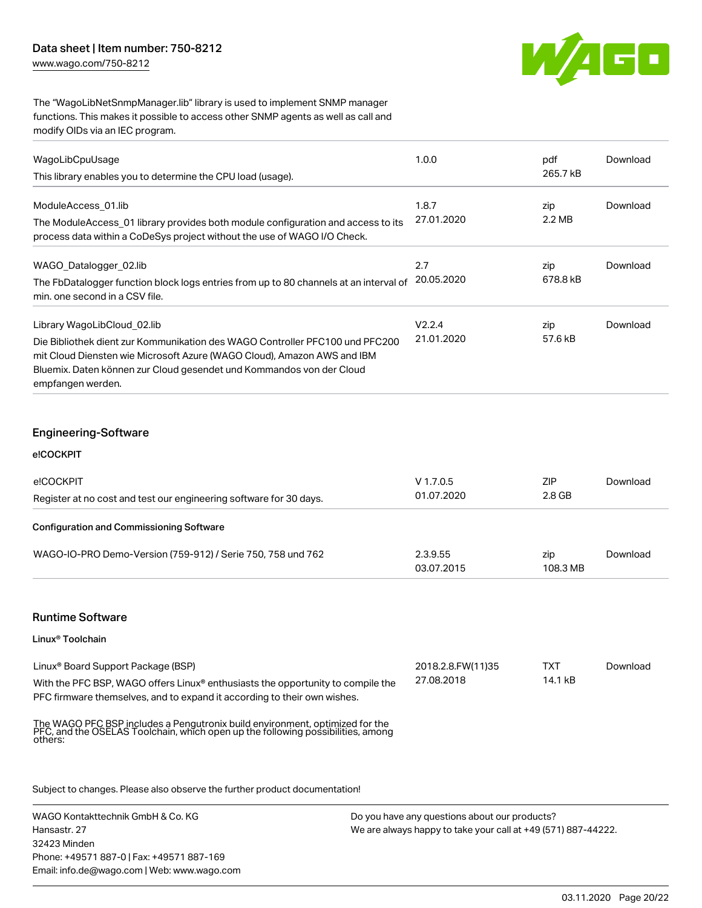[www.wago.com/750-8212](http://www.wago.com/750-8212)



The "WagoLibNetSnmpManager.lib" library is used to implement SNMP manager functions. This makes it possible to access other SNMP agents as well as call and modify OIDs via an IEC program.

| 265.7 kB<br>zip |          |
|-----------------|----------|
|                 |          |
| 2.2 MB          | Download |
|                 |          |
| zip             | Download |
| 678.8 kB        |          |
| zip             | Download |
| 57.6 kB         |          |
|                 |          |

| e!COCKPIT<br>Register at no cost and test our engineering software for 30 days. | $V$ 1.7.0.5<br>01.07.2020 | <b>ZIP</b><br>2.8 GB | Download |
|---------------------------------------------------------------------------------|---------------------------|----------------------|----------|
| <b>Configuration and Commissioning Software</b>                                 |                           |                      |          |
| WAGO-IO-PRO Demo-Version (759-912) / Serie 750, 758 und 762                     | 2.3.9.55<br>03.07.2015    | zip<br>108.3 MB      | Download |

### Runtime Software

### Linux® Toolchain

| Linux <sup>®</sup> Board Support Package (BSP)                                  | 2018.2.8.FW(11)35 | <b>TXT</b> | Download |
|---------------------------------------------------------------------------------|-------------------|------------|----------|
| With the PFC BSP, WAGO offers Linux® enthusiasts the opportunity to compile the | 27.08.2018        | 14.1 kB    |          |
| PFC firmware themselves, and to expand it according to their own wishes.        |                   |            |          |

The WAGO PFC BSP includes a Pengutronix build environment, optimized for the PFC, and the OSELAS Toolchain, which open up the following possibilities, among others:

Subject to changes. Please also observe the further product documentation!

WAGO Kontakttechnik GmbH & Co. KG Hansastr. 27 32423 Minden Phone: +49571 887-0 | Fax: +49571 887-169 Email: info.de@wago.com | Web: www.wago.com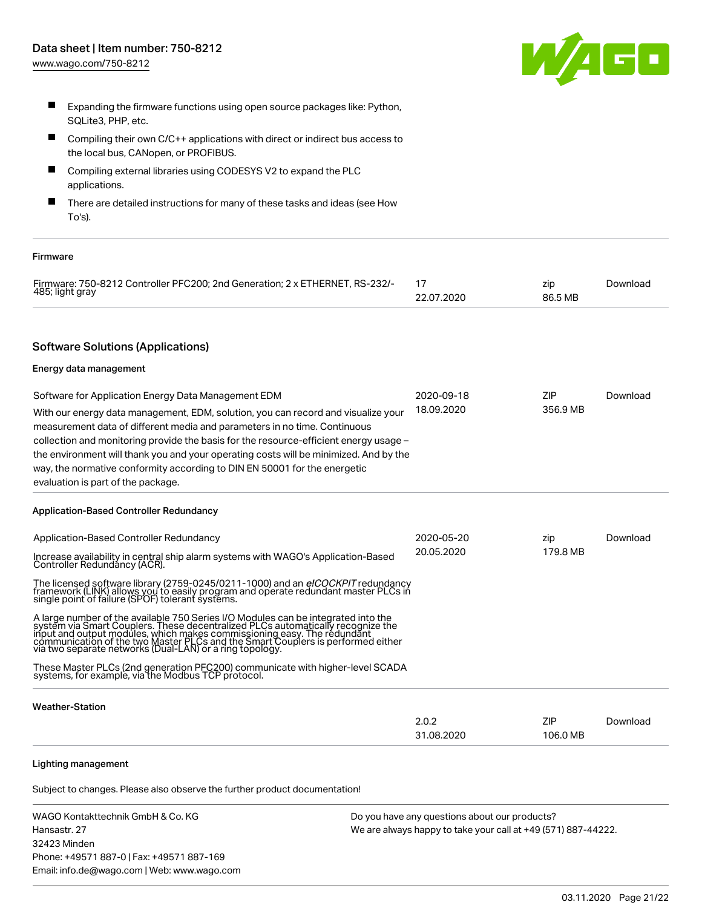

- $\blacksquare$ Expanding the firmware functions using open source packages like: Python, SQLite3, PHP, etc.
- Compiling their own C/C++ applications with direct or indirect bus access to the local bus, CANopen, or PROFIBUS.
- Compiling external libraries using CODESYS V2 to expand the PLC applications.
- П There are detailed instructions for many of these tasks and ideas (see How To's).

#### Firmware

| Firmware: 750-8212 Controller PFC200: 2nd Generation: 2 x ETHERNET, RS-232/- |            | zin     | Download |
|------------------------------------------------------------------------------|------------|---------|----------|
| 485; light gray                                                              | 22.07.2020 | 86.5 MB |          |

### Software Solutions (Applications)

#### Energy data management

| Software for Application Energy Data Management EDM                                   | 2020-09-18 | ZIP.     | Download |
|---------------------------------------------------------------------------------------|------------|----------|----------|
| With our energy data management, EDM, solution, you can record and visualize your     | 18.09.2020 | 356.9 MB |          |
| measurement data of different media and parameters in no time. Continuous             |            |          |          |
| collection and monitoring provide the basis for the resource-efficient energy usage - |            |          |          |
| the environment will thank you and your operating costs will be minimized. And by the |            |          |          |
| way, the normative conformity according to DIN EN 50001 for the energetic             |            |          |          |
| evaluation is part of the package.                                                    |            |          |          |

### Application-Based Controller Redundancy

| Application-Based Controller Redundancy                                                                                                                                                                                                                                                                                                                                                     | 2020-05-20<br>20.05.2020 | zip<br>179.8 MB | Download |
|---------------------------------------------------------------------------------------------------------------------------------------------------------------------------------------------------------------------------------------------------------------------------------------------------------------------------------------------------------------------------------------------|--------------------------|-----------------|----------|
| Increase availability in central ship alarm systems with WAGO's Application-Based<br>Controller Redundáncy (ACR).                                                                                                                                                                                                                                                                           |                          |                 |          |
| The licensed software library (2759-0245/0211-1000) and an <i>elCOCKPIT</i> redundancy framework (LINK) allows you to easily program and operate redundant master PLCs in single point of failure (SPOF) tolerant systems.                                                                                                                                                                  |                          |                 |          |
| A large number of the available 750 Series I/O Modules can be integrated into the system via Smart Couplers. These decentralized PLCs automatically recognize the<br>input and output modules, which makes commissioning easy. The redundant<br>communication of the two Master PLCs and the Smart Couplers is performed either<br>via two separate networks (Dual-LAN) or a ring topology. |                          |                 |          |
| These Master PLCs (2nd generation PFC200) communicate with higher-level SCADA<br>systems, for example, via the Modbus TCP protocol.                                                                                                                                                                                                                                                         |                          |                 |          |
| <b>Weather-Station</b>                                                                                                                                                                                                                                                                                                                                                                      |                          |                 |          |
|                                                                                                                                                                                                                                                                                                                                                                                             | 2.0.2                    | ZIP             | Download |

31.08.2020

### Lighting management

Subject to changes. Please also observe the further product documentation!

| WAGO Kontakttechnik GmbH & Co. KG           | Do you have any questions about our products?                 |
|---------------------------------------------|---------------------------------------------------------------|
| Hansastr. 27                                | We are always happy to take your call at +49 (571) 887-44222. |
| 32423 Minden                                |                                                               |
| Phone: +49571 887-0   Fax: +49571 887-169   |                                                               |
| Email: info.de@wago.com   Web: www.wago.com |                                                               |

106.0 MB